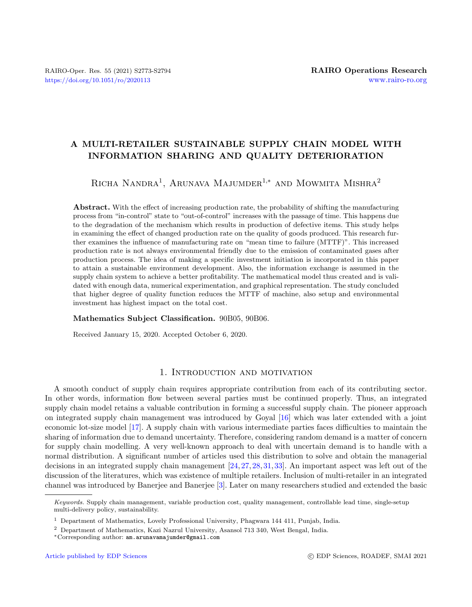# A MULTI-RETAILER SUSTAINABLE SUPPLY CHAIN MODEL WITH INFORMATION SHARING AND QUALITY DETERIORATION

RICHA NANDRA<sup>1</sup>, ARUNAVA MAJUMDER<sup>1,\*</sup> AND MOWMITA MISHRA<sup>2</sup>

Abstract. With the effect of increasing production rate, the probability of shifting the manufacturing process from "in-control" state to "out-of-control" increases with the passage of time. This happens due to the degradation of the mechanism which results in production of defective items. This study helps in examining the effect of changed production rate on the quality of goods produced. This research further examines the influence of manufacturing rate on "mean time to failure (MTTF)". This increased production rate is not always environmental friendly due to the emission of contaminated gases after production process. The idea of making a specific investment initiation is incorporated in this paper to attain a sustainable environment development. Also, the information exchange is assumed in the supply chain system to achieve a better profitability. The mathematical model thus created and is validated with enough data, numerical experimentation, and graphical representation. The study concluded that higher degree of quality function reduces the MTTF of machine, also setup and environmental investment has highest impact on the total cost.

#### Mathematics Subject Classification. 90B05, 90B06.

Received January 15, 2020. Accepted October 6, 2020.

### 1. Introduction and motivation

A smooth conduct of supply chain requires appropriate contribution from each of its contributing sector. In other words, information flow between several parties must be continued properly. Thus, an integrated supply chain model retains a valuable contribution in forming a successful supply chain. The pioneer approach on integrated supply chain management was introduced by Goyal [\[16\]](#page-20-0) which was later extended with a joint economic lot-size model [\[17\]](#page-20-1). A supply chain with various intermediate parties faces difficulties to maintain the sharing of information due to demand uncertainty. Therefore, considering random demand is a matter of concern for supply chain modelling. A very well-known approach to deal with uncertain demand is to handle with a normal distribution. A significant number of articles used this distribution to solve and obtain the managerial decisions in an integrated supply chain management [\[24,](#page-20-2) [27,](#page-20-3) [28,](#page-20-4) [31,](#page-20-5) [33\]](#page-20-6). An important aspect was left out of the discussion of the literatures, which was existence of multiple retailers. Inclusion of multi-retailer in an integrated channel was introduced by Banerjee and Banerjee [\[3\]](#page-19-0). Later on many researchers studied and extended the basic

Keywords. Supply chain management, variable production cost, quality management, controllable lead time, single-setup multi-delivery policy, sustainability.

<sup>1</sup> Department of Mathematics, Lovely Professional University, Phagwara 144 411, Punjab, India.

<sup>2</sup> Department of Mathematics, Kazi Nazrul University, Asansol 713 340, West Bengal, India.

<sup>∗</sup>Corresponding author: [am.arunavamajumder@gmail.com](mailto:am.arunavamajumder@gmail.com)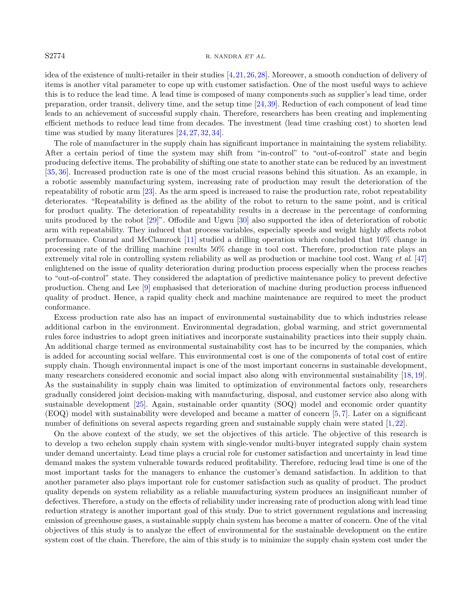### S2774 R. NANDRA ET AL.

idea of the existence of multi-retailer in their studies [\[4,](#page-19-1)[21,](#page-20-7)[26,](#page-20-8)[28\]](#page-20-4). Moreover, a smooth conduction of delivery of items is another vital parameter to cope up with customer satisfaction. One of the most useful ways to achieve this is to reduce the lead time. A lead time is composed of many components such as supplier's lead time, order preparation, order transit, delivery time, and the setup time [\[24,](#page-20-2)[39\]](#page-20-9). Reduction of each component of lead time leads to an achievement of successful supply chain. Therefore, researchers has been creating and implementing efficient methods to reduce lead time from decades. The investment (lead time crashing cost) to shorten lead time was studied by many literatures [\[24,](#page-20-2) [27,](#page-20-3) [32,](#page-20-10) [34\]](#page-20-11).

The role of manufacturer in the supply chain has significant importance in maintaining the system reliability. After a certain period of time the system may shift from "in-control" to "out-of-control" state and begin producing defective items. The probability of shifting one state to another state can be reduced by an investment [\[35,](#page-20-12) [36\]](#page-20-13). Increased production rate is one of the most crucial reasons behind this situation. As an example, in a robotic assembly manufacturing system, increasing rate of production may result the deterioration of the repeatability of robotic arm [\[23\]](#page-20-14). As the arm speed is increased to raise the production rate, robot repeatability deteriorates. "Repeatability is defined as the ability of the robot to return to the same point, and is critical for product quality. The deterioration of repeatability results in a decrease in the percentage of conforming units produced by the robot [\[29\]](#page-20-15)". Offodile and Ugwu [\[30\]](#page-20-16) also supported the idea of deterioration of robotic arm with repeatability. They induced that process variables, especially speeds and weight highly affects robot performance. Conrad and McClamrock [\[11\]](#page-19-2) studied a drilling operation which concluded that 10% change in processing rate of the drilling machine results 50% change in tool cost. Therefore, production rate plays an extremely vital role in controlling system reliability as well as production or machine tool cost. Wang et al. [\[47\]](#page-21-0) enlightened on the issue of quality deterioration during production process especially when the process reaches to "out-of-control" state. They considered the adaptation of predictive maintenance policy to prevent defective production. Cheng and Lee [\[9\]](#page-19-3) emphasised that deterioration of machine during production process influenced quality of product. Hence, a rapid quality check and machine maintenance are required to meet the product conformance.

Excess production rate also has an impact of environmental sustainability due to which industries release additional carbon in the environment. Environmental degradation, global warming, and strict governmental rules force industries to adopt green initiatives and incorporate sustainability practices into their supply chain. An additional charge termed as environmental sustainability cost has to be incurred by the companies, which is added for accounting social welfare. This environmental cost is one of the components of total cost of entire supply chain. Though environmental impact is one of the most important concerns in sustainable development, many researchers considered economic and social impact also along with environmental sustainability [\[18,](#page-20-17) [19\]](#page-20-18). As the sustainability in supply chain was limited to optimization of environmental factors only, researchers gradually considered joint decision-making with manufacturing, disposal, and customer service also along with sustainable development [\[25\]](#page-20-19). Again, sustainable order quantity (SOQ) model and economic order quantity (EOQ) model with sustainability were developed and became a matter of concern [\[5,](#page-19-4) [7\]](#page-19-5). Later on a significant number of definitions on several aspects regarding green and sustainable supply chain were stated [\[1,](#page-19-6) [22\]](#page-20-20).

On the above context of the study, we set the objectives of this article. The objective of this research is to develop a two echelon supply chain system with single-vendor multi-buyer integrated supply chain system under demand uncertainty. Lead time plays a crucial role for customer satisfaction and uncertainty in lead time demand makes the system vulnerable towards reduced profitability. Therefore, reducing lead time is one of the most important tasks for the managers to enhance the customer's demand satisfaction. In addition to that another parameter also plays important role for customer satisfaction such as quality of product. The product quality depends on system reliability as a reliable manufacturing system produces an insignificant number of defectives. Therefore, a study on the effects of reliability under increasing rate of production along with lead time reduction strategy is another important goal of this study. Due to strict government regulations and increasing emission of greenhouse gases, a sustainable supply chain system has become a matter of concern. One of the vital objectives of this study is to analyze the effect of environmental for the sustainable development on the entire system cost of the chain. Therefore, the aim of this study is to minimize the supply chain system cost under the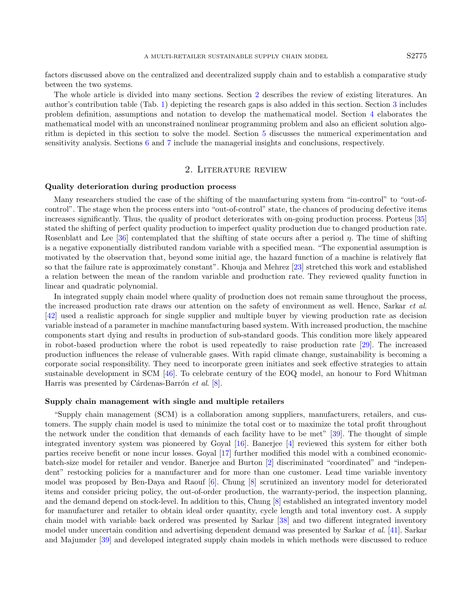factors discussed above on the centralized and decentralized supply chain and to establish a comparative study between the two systems.

The whole article is divided into many sections. Section [2](#page-2-0) describes the review of existing literatures. An author's contribution table (Tab. [1\)](#page-4-0) depicting the research gaps is also added in this section. Section [3](#page-4-1) includes problem definition, assumptions and notation to develop the mathematical model. Section [4](#page-6-0) elaborates the mathematical model with an unconstrained nonlinear programming problem and also an efficient solution algorithm is depicted in this section to solve the model. Section [5](#page-10-0) discusses the numerical experimentation and sensitivity analysis. Sections [6](#page-14-0) and [7](#page-16-0) include the managerial insights and conclusions, respectively.

## 2. Literature review

#### <span id="page-2-0"></span>Quality deterioration during production process

Many researchers studied the case of the shifting of the manufacturing system from "in-control" to "out-ofcontrol". The stage when the process enters into "out-of-control" state, the chances of producing defective items increases significantly. Thus, the quality of product deteriorates with on-going production process. Porteus [\[35\]](#page-20-12) stated the shifting of perfect quality production to imperfect quality production due to changed production rate. Rosenblatt and Lee  $[36]$  contemplated that the shifting of state occurs after a period  $\eta$ . The time of shifting is a negative exponentially distributed random variable with a specified mean. "The exponential assumption is motivated by the observation that, beyond some initial age, the hazard function of a machine is relatively flat so that the failure rate is approximately constant". Khouja and Mehrez [\[23\]](#page-20-14) stretched this work and established a relation between the mean of the random variable and production rate. They reviewed quality function in linear and quadratic polynomial.

In integrated supply chain model where quality of production does not remain same throughout the process, the increased production rate draws our attention on the safety of environment as well. Hence, Sarkar et al. [\[42\]](#page-20-21) used a realistic approach for single supplier and multiple buyer by viewing production rate as decision variable instead of a parameter in machine manufacturing based system. With increased production, the machine components start dying and results in production of sub-standard goods. This condition more likely appeared in robot-based production where the robot is used repeatedly to raise production rate [\[29\]](#page-20-15). The increased production influences the release of vulnerable gases. With rapid climate change, sustainability is becoming a corporate social responsibility. They need to incorporate green initiates and seek effective strategies to attain sustainable development in SCM [\[46\]](#page-21-1). To celebrate century of the EOQ model, an honour to Ford Whitman Harris was presented by Cárdenas-Barrón et al.  $[8]$ .

#### Supply chain management with single and multiple retailers

"Supply chain management (SCM) is a collaboration among suppliers, manufacturers, retailers, and customers. The supply chain model is used to minimize the total cost or to maximize the total profit throughout the network under the condition that demands of each facility have to be met" [\[39\]](#page-20-9). The thought of simple integrated inventory system was pioneered by Goyal [\[16\]](#page-20-0). Banerjee [\[4\]](#page-19-1) reviewed this system for either both parties receive benefit or none incur losses. Goyal [\[17\]](#page-20-1) further modified this model with a combined economicbatch-size model for retailer and vendor. Banerjee and Burton [\[2\]](#page-19-8) discriminated "coordinated" and "independent" restocking policies for a manufacturer and for more than one customer. Lead time variable inventory model was proposed by Ben-Daya and Raouf [\[6\]](#page-19-9). Chung [\[8\]](#page-19-7) scrutinized an inventory model for deteriorated items and consider pricing policy, the out-of-order production, the warranty-period, the inspection planning, and the demand depend on stock-level. In addition to this, Chung [\[8\]](#page-19-7) established an integrated inventory model for manufacturer and retailer to obtain ideal order quantity, cycle length and total inventory cost. A supply chain model with variable back ordered was presented by Sarkar [\[38\]](#page-20-22) and two different integrated inventory model under uncertain condition and advertising dependent demand was presented by Sarkar et al. [\[41\]](#page-20-23). Sarkar and Majumder [\[39\]](#page-20-9) and developed integrated supply chain models in which methods were discussed to reduce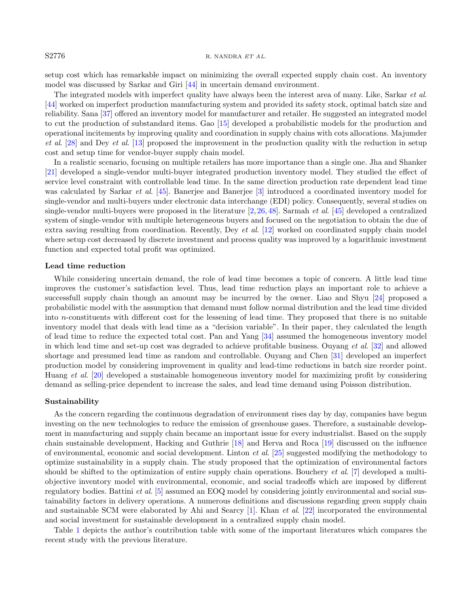#### S2776 R. NANDRA ET AL.

setup cost which has remarkable impact on minimizing the overall expected supply chain cost. An inventory model was discussed by Sarkar and Giri [\[44\]](#page-20-24) in uncertain demand environment.

The integrated models with imperfect quality have always been the interest area of many. Like, Sarkar et al. [\[44\]](#page-20-24) worked on imperfect production manufacturing system and provided its safety stock, optimal batch size and reliability. Sana [\[37\]](#page-20-25) offered an inventory model for manufacturer and retailer. He suggested an integrated model to cut the production of substandard items. Gao [\[15\]](#page-20-26) developed a probabilistic models for the production and operational incitements by improving quality and coordination in supply chains with cots allocations. Majumder et al. [\[28\]](#page-20-4) and Dey et al. [\[13\]](#page-20-27) proposed the improvement in the production quality with the reduction in setup cost and setup time for vendor-buyer supply chain model.

In a realistic scenario, focusing on multiple retailers has more importance than a single one. Jha and Shanker [\[21\]](#page-20-7) developed a single-vendor multi-buyer integrated production inventory model. They studied the effect of service level constraint with controllable lead time. In the same direction production rate dependent lead time was calculated by Sarkar *et al.* [\[45\]](#page-21-2). Banerjee and Banerjee [\[3\]](#page-19-0) introduced a coordinated inventory model for single-vendor and multi-buyers under electronic data interchange (EDI) policy. Consequently, several studies on single-vendor multi-buyers were proposed in the literature  $[2, 26, 48]$  $[2, 26, 48]$  $[2, 26, 48]$  $[2, 26, 48]$  $[2, 26, 48]$ . Sarmah *et al.* [\[45\]](#page-21-2) developed a centralized system of single-vendor with multiple heterogeneous buyers and focused on the negotiation to obtain the due of extra saving resulting from coordination. Recently, Dey et al. [\[12\]](#page-20-28) worked on coordinated supply chain model where setup cost decreased by discrete investment and process quality was improved by a logarithmic investment function and expected total profit was optimized.

#### Lead time reduction

While considering uncertain demand, the role of lead time becomes a topic of concern. A little lead time improves the customer's satisfaction level. Thus, lead time reduction plays an important role to achieve a successfull supply chain though an amount may be incurred by the owner. Liao and Shyu [\[24\]](#page-20-2) proposed a probabilistic model with the assumption that demand must follow normal distribution and the lead time divided into n-constituents with different cost for the lessening of lead time. They proposed that there is no suitable inventory model that deals with lead time as a "decision variable". In their paper, they calculated the length of lead time to reduce the expected total cost. Pan and Yang [\[34\]](#page-20-11) assumed the homogeneous inventory model in which lead time and set-up cost was degraded to achieve profitable business. Ouyang et al. [\[32\]](#page-20-10) and allowed shortage and presumed lead time as random and controllable. Ouyang and Chen [\[31\]](#page-20-5) developed an imperfect production model by considering improvement in quality and lead-time reductions in batch size reorder point. Huang et al. [\[20\]](#page-20-29) developed a sustainable homogeneous inventory model for maximizing profit by considering demand as selling-price dependent to increase the sales, and lead time demand using Poisson distribution.

#### Sustainability

As the concern regarding the continuous degradation of environment rises day by day, companies have begun investing on the new technologies to reduce the emission of greenhouse gases. Therefore, a sustainable development in manufacturing and supply chain became an important issue for every industrialist. Based on the supply chain sustainable development, Hacking and Guthrie [\[18\]](#page-20-17) and Herva and Roca [\[19\]](#page-20-18) discussed on the influence of environmental, economic and social development. Linton *et al.* [\[25\]](#page-20-19) suggested modifying the methodology to optimize sustainability in a supply chain. The study proposed that the optimization of environmental factors should be shifted to the optimization of entire supply chain operations. Bouchery et al. [\[7\]](#page-19-5) developed a multiobjective inventory model with environmental, economic, and social tradeoffs which are imposed by different regulatory bodies. Battini et al. [\[5\]](#page-19-4) assumed an EOQ model by considering jointly environmental and social sustainability factors in delivery operations. A numerous definitions and discussions regarding green supply chain and sustainable SCM were elaborated by Ahi and Searcy [\[1\]](#page-19-6). Khan et al. [\[22\]](#page-20-20) incorporated the environmental and social investment for sustainable development in a centralized supply chain model.

Table [1](#page-4-0) depicts the author's contribution table with some of the important literatures which compares the recent study with the previous literature.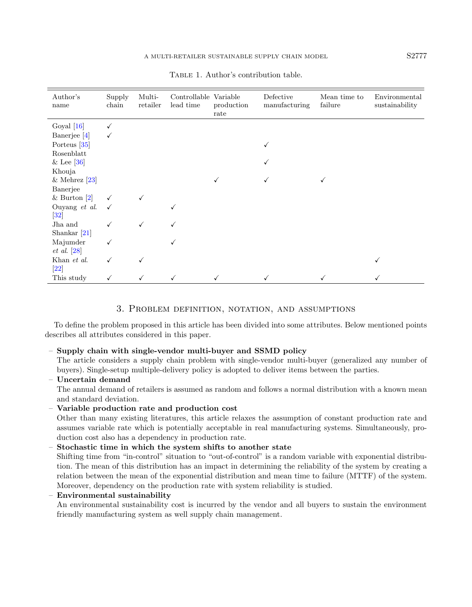| Author's<br>name                  | Supply<br>chain | Multi-<br>retailer | Controllable Variable<br>lead time | production<br>rate | Defective<br>manufacturing | Mean time to<br>failure | Environmental<br>sustainability |
|-----------------------------------|-----------------|--------------------|------------------------------------|--------------------|----------------------------|-------------------------|---------------------------------|
| Goyal $[16]$                      |                 |                    |                                    |                    |                            |                         |                                 |
| Banerjee [4]                      |                 |                    |                                    |                    |                            |                         |                                 |
| Porteus [35]                      |                 |                    |                                    |                    |                            |                         |                                 |
| Rosenblatt                        |                 |                    |                                    |                    |                            |                         |                                 |
| $&$ Lee [36]                      |                 |                    |                                    |                    |                            |                         |                                 |
| Khouja                            |                 |                    |                                    |                    |                            |                         |                                 |
| & Mehrez $[23]$                   |                 |                    |                                    |                    |                            |                         |                                 |
| Banerjee                          |                 |                    |                                    |                    |                            |                         |                                 |
| & Burton $[2]$                    |                 |                    |                                    |                    |                            |                         |                                 |
| Ouyang et al.<br>$[32]$           |                 |                    |                                    |                    |                            |                         |                                 |
| Jha and<br>Shankar $[21]$         |                 | √                  | √                                  |                    |                            |                         |                                 |
| Majumder<br>$et\ al.\ [28]$       |                 |                    | √                                  |                    |                            |                         |                                 |
| Khan et al.<br>$\left[ 22\right]$ |                 |                    |                                    |                    |                            |                         |                                 |
| This study                        |                 |                    |                                    |                    |                            |                         |                                 |

<span id="page-4-0"></span>TABLE 1. Author's contribution table.

## 3. Problem definition, notation, and assumptions

<span id="page-4-1"></span>To define the problem proposed in this article has been divided into some attributes. Below mentioned points describes all attributes considered in this paper.

## – Supply chain with single-vendor multi-buyer and SSMD policy

The article considers a supply chain problem with single-vendor multi-buyer (generalized any number of buyers). Single-setup multiple-delivery policy is adopted to deliver items between the parties.

# – Uncertain demand

The annual demand of retailers is assumed as random and follows a normal distribution with a known mean and standard deviation.

## – Variable production rate and production cost

Other than many existing literatures, this article relaxes the assumption of constant production rate and assumes variable rate which is potentially acceptable in real manufacturing systems. Simultaneously, production cost also has a dependency in production rate.

## – Stochastic time in which the system shifts to another state

Shifting time from "in-control" situation to "out-of-control" is a random variable with exponential distribution. The mean of this distribution has an impact in determining the reliability of the system by creating a relation between the mean of the exponential distribution and mean time to failure (MTTF) of the system. Moreover, dependency on the production rate with system reliability is studied.

## – Environmental sustainability

An environmental sustainability cost is incurred by the vendor and all buyers to sustain the environment friendly manufacturing system as well supply chain management.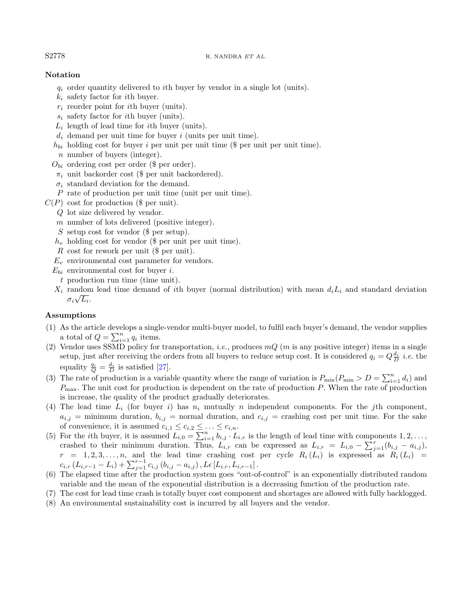#### S2778 R. NANDRA ET AL.

## Notation

- $q_i$  order quantity delivered to *i*th buyer by vendor in a single lot (units).
- $k_i$  safety factor for *i*th buyer.
- $r_i$  reorder point for *i*th buyer (units).
- $s_i$  safety factor for *i*th buyer (units).
- $L_i$  length of lead time for *i*th buyer (units).
- $d_i$  demand per unit time for buyer i (units per unit time).
- $h_{bi}$  holding cost for buyer i per unit per unit time (\$ per unit per unit time).
- n number of buyers (integer).
- $O_{bi}$  ordering cost per order (\$ per order).
- $\pi_i$  unit backorder cost (\$ per unit backordered).
- $\sigma_i$  standard deviation for the demand.
- P rate of production per unit time (unit per unit time).
- $C(P)$  cost for production (\$ per unit).
	- Q lot size delivered by vendor.
	- m number of lots delivered (positive integer).
	- S setup cost for vendor (\$ per setup).
	- $h_v$  holding cost for vendor (\$ per unit per unit time).
	- R cost for rework per unit (\$ per unit).
	- $E_v$  environmental cost parameter for vendors.
	- $E_{bi}$  environmental cost for buyer *i*.
		- t production run time (time unit).
	- $X_i$  random lead time demand of *i*th buyer (normal distribution) with mean  $d_i L_i$  and standard deviation  $\sigma_i\sqrt{L_i}.$

## Assumptions

- (1) As the article develops a single-vendor multi-buyer model, to fulfil each buyer's demand, the vendor supplies a total of  $Q = \sum_{i=1}^{n} q_i$  items.
- (2) Vendor uses SSMD policy for transportation, *i.e.*, produces  $mQ$  (*m* is any positive integer) items in a single setup, just after receiving the orders from all buyers to reduce setup cost. It is considered  $q_i = Q_{\overline{D}}^{\underline{d_i}}$  *i.e.* the equality  $\frac{q_i}{Q} = \frac{d_i}{D}$  is satisfied [\[27\]](#page-20-3).
- (3) The rate of production is a variable quantity where the range of variation is  $P_{\min}(P_{\min} > D = \sum_{i=1}^{n} d_i)$  and  $P_{\text{max}}$ . The unit cost for production is dependent on the rate of production P. When the rate of production is increase, the quality of the product gradually deteriorates.
- (4) The lead time  $L_i$  (for buyer i) has  $n_i$  mutually n independent components. For the jth component,  $a_{i,j}$  = minimum duration,  $b_{i,j}$  = normal duration, and  $c_{i,j}$  = crashing cost per unit time. For the sake of convenience, it is assumed  $c_{i,1} \leq c_{i,2} \leq \ldots \leq c_{i,n}$ .
- (5) For the *i*th buyer, it is assumed  $L_{i,0} = \sum_{i=1}^{n} b_{i,j} \cdot L_{i,r}$  is the length of lead time with components  $1, 2, \ldots$ , crashed to their minimum duration. Thus,  $L_{i,r}$  can be expressed as  $L_{i,r} = L_{i,0} - \sum_{j=1}^{r} (b_{i,j} - a_{i,j})$ ,  $r = 1, 2, 3, \ldots, n$ , and the lead time crashing cost per cycle  $R_i(L_i)$  is expressed as  $R_i(L_i)$  =  $c_{i,r}\left(L_{i,r-1}-L_{i}\right)+\sum_{j=1}^{r-1}c_{i,j}\left(b_{i,j}-a_{i,j}\right), L\epsilon\left[L_{i,r},L_{i,r-1}\right].$
- (6) The elapsed time after the production system goes "out-of-control" is an exponentially distributed random variable and the mean of the exponential distribution is a decreasing function of the production rate.
- (7) The cost for lead time crash is totally buyer cost component and shortages are allowed with fully backlogged.
- (8) An environmental sustainability cost is incurred by all buyers and the vendor.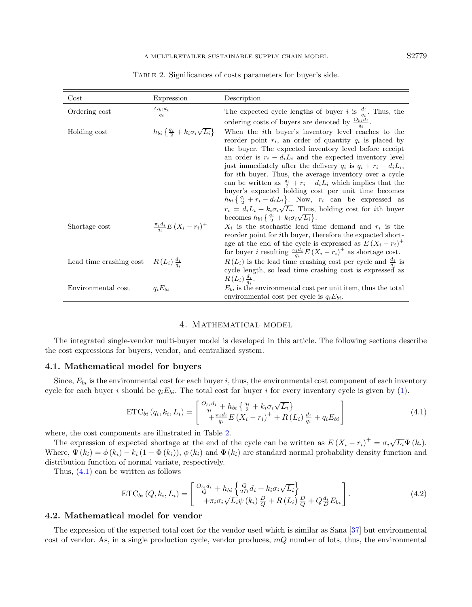| Cost                                             | Expression                                                        | Description                                                                                                                                                                                                                                                                                                                                                                                                                                                                                                                                                                                                                                                                                                                                                                         |
|--------------------------------------------------|-------------------------------------------------------------------|-------------------------------------------------------------------------------------------------------------------------------------------------------------------------------------------------------------------------------------------------------------------------------------------------------------------------------------------------------------------------------------------------------------------------------------------------------------------------------------------------------------------------------------------------------------------------------------------------------------------------------------------------------------------------------------------------------------------------------------------------------------------------------------|
| Ordering cost                                    | $\frac{O_{bi}d_i}{q_i}$                                           | The expected cycle lengths of buyer <i>i</i> is $\frac{d_i}{a_i}$ . Thus, the<br>ordering costs of buyers are denoted by $\frac{O_{bi}d_i}{q_i}$ .                                                                                                                                                                                                                                                                                                                                                                                                                                                                                                                                                                                                                                  |
| Holding cost                                     | $h_{bi} \left\{ \frac{q_i}{2} + k_i \sigma_i \sqrt{L_i} \right\}$ | When the <i>i</i> th buyer's inventory level reaches to the<br>reorder point $r_i$ , an order of quantity $q_i$ is placed by<br>the buyer. The expected inventory level before receipt<br>an order is $r_i - d_i L_i$ and the expected inventory level<br>just immediately after the delivery $q_i$ is $q_i + r_i - d_i L_i$ ,<br>for <i>i</i> th buyer. Thus, the average inventory over a cycle<br>can be written as $\frac{q_i}{2} + r_i - d_i L_i$ which implies that the<br>buyer's expected holding cost per unit time becomes<br>$h_{bi}\left\{\frac{q_i}{2}+r_i-d_iL_i\right\}$ . Now, $r_i$ can be expressed as<br>$r_i = d_i L_i + k_i \sigma_i \sqrt{L_i}$ . Thus, holding cost for <i>i</i> th buyer<br>becomes $h_{bi} \{ \frac{q_i}{2} + k_i \sigma_i \sqrt{L_i} \}.$ |
| Shortage cost                                    | $\frac{\pi_i d_i}{a_i} E\left(X_i-r_i\right)^+$                   | $X_i$ is the stochastic lead time demand and $r_i$ is the<br>reorder point for <i>i</i> th buyer, therefore the expected short-<br>age at the end of the cycle is expressed as $E(X_i - r_i)^+$<br>for buyer <i>i</i> resulting $\frac{\pi_i d_i}{q_i} E(X_i - r_i)^+$ as shortage cost.                                                                                                                                                                                                                                                                                                                                                                                                                                                                                            |
| Lead time crashing cost $R(L_i) \frac{d_i}{a_i}$ |                                                                   | $R(L_i)$ is the lead time crashing cost per cycle and $\frac{d_i}{d_i}$ is<br>cycle length, so lead time crashing cost is expressed as<br>$R(L_i)\frac{d_i}{a_i}$ .                                                                                                                                                                                                                                                                                                                                                                                                                                                                                                                                                                                                                 |
| Environmental cost                               | $q_iE_{bi}$                                                       | $E_{bi}$ is the environmental cost per unit item, thus the total<br>environmental cost per cycle is $q_i E_{bi}$ .                                                                                                                                                                                                                                                                                                                                                                                                                                                                                                                                                                                                                                                                  |

<span id="page-6-1"></span>Table 2. Significances of costs parameters for buyer's side.

## <span id="page-6-2"></span>4. Mathematical model

<span id="page-6-0"></span>The integrated single-vendor multi-buyer model is developed in this article. The following sections describe the cost expressions for buyers, vendor, and centralized system.

#### 4.1. Mathematical model for buyers

Since,  $E_{bi}$  is the environmental cost for each buyer i, thus, the environmental cost component of each inventory cycle for each buyer i should be  $q_iE_{bi}$ . The total cost for buyer i for every inventory cycle is given by [\(1\)](#page-4-0).

$$
ETC_{bi}(q_i, k_i, L_i) = \begin{bmatrix} \frac{O_{bi}d_i}{q_i} + h_{bi} \left\{ \frac{q_i}{2} + k_i \sigma_i \sqrt{L_i} \right\} \\ + \frac{\pi_i d_i}{q_i} E \left( X_i - r_i \right)^+ + R \left( L_i \right) \frac{d_i}{q_i} + q_i E_{bi} \end{bmatrix}
$$
(4.1)

where, the cost components are illustrated in Table [2.](#page-6-1)

The expression of expected shortage at the end of the cycle can be written as  $E(X_i - r_i)^+ = \sigma_i \sqrt{L_i} \Psi(k_i)$ . Where,  $\Psi(k_i) = \phi(k_i) - k_i (1 - \Phi(k_i))$ ,  $\phi(k_i)$  and  $\Phi(k_i)$  are standard normal probability density function and distribution function of normal variate, respectively.

Thus, [\(4.1\)](#page-6-2) can be written as follows

$$
ETC_{bi}(Q, k_i, L_i) = \begin{bmatrix} \frac{O_{bi}d_i}{Q} + h_{bi} \left\{ \frac{Q}{2D}d_i + k_i \sigma_i \sqrt{L_i} \right\} \\ + \pi_i \sigma_i \sqrt{L_i} \psi(k_i) \frac{D}{Q} + R(L_i) \frac{D}{Q} + Q \frac{d_i}{D} E_{bi} \end{bmatrix}.
$$
(4.2)

## 4.2. Mathematical model for vendor

The expression of the expected total cost for the vendor used which is similar as Sana [\[37\]](#page-20-25) but environmental cost of vendor. As, in a single production cycle, vendor produces, mQ number of lots, thus, the environmental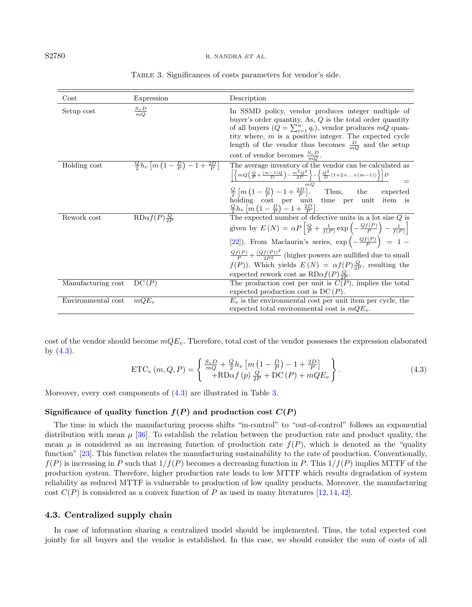| $\cos t$           | Expression                                                              | Description                                                                                                                                                                                                                                                                                                                                                                                                                                                                                                   |
|--------------------|-------------------------------------------------------------------------|---------------------------------------------------------------------------------------------------------------------------------------------------------------------------------------------------------------------------------------------------------------------------------------------------------------------------------------------------------------------------------------------------------------------------------------------------------------------------------------------------------------|
| Setup cost         | $\frac{S_v D}{mQ}$                                                      | In SSMD policy, vendor produces integer multiple of<br>buyer's order quantity. As, $Q$ is the total order quantity<br>of all buyers $(Q = \sum_{i=1}^{n} q_i)$ , vendor produces mQ quan-<br>tity where, $m$ is a positive integer. The expected cycle<br>length of the vendor thus becomes $\frac{D}{mQ}$ and the setup<br>cost of vendor becomes $\frac{S_v D}{mQ}$ .                                                                                                                                       |
| Holding cost       | $\frac{Q}{2}h_v\left[m\left(1-\frac{D}{P}\right)-1+\frac{2D}{P}\right]$ | The average inventory of the vendor can be calculated as<br>$\frac{\left[\left\{mQ\Big(\frac{Q}{P}+\frac{(m-1)Q}{D}\Big)-\frac{m^2Q^2}{2P}\right\}-\left\{\frac{Q^2}{D}\left(1+2+\ldots+(m-1)\right)\right\}\right]D}{mQ}$<br>$\frac{Q}{2}[m(1-\frac{D}{P})-1+\frac{2D}{P}].$ Thus, the<br>expected<br>holding cost per unit time per unit<br>item is<br>$\frac{Q}{2}h_v\left[m\left(1-\frac{D}{P}\right)-1+\frac{2D}{P}\right].$                                                                             |
| Rework cost        | $R\mathrm{D}\alpha f(P)\frac{Q}{2P}$                                    | The expected number of defective units in a lot size $Q$ is<br>given by $E(N) = \alpha P \left[ \frac{Q}{P} + \frac{1}{f(P)} \exp \left( - \frac{Qf(P)}{P} \right) - \frac{1}{f(P)} \right]$<br>[22]). From Maclaurin's series, $\exp\left(-\frac{Qf(P)}{P}\right) = 1 -$<br>$\frac{Qf(P)}{P} + \frac{(Qf(P))^2}{2P^2}$ (higher powers are nullified due to small<br>$f(P)$ ). Which yields $E(N) = \alpha f(P) \frac{Q}{2P}$ , resulting the<br>expected rework cost as $R\text{D}\alpha f(P)\frac{Q}{2P}$ . |
| Manufacturing cost | DC(P)                                                                   | The production cost per unit is $C(P)$ , implies the total<br>expected production cost is $DC(P)$ .                                                                                                                                                                                                                                                                                                                                                                                                           |
| Environmental cost | $mQE_v$                                                                 | $E_v$ is the environmental cost per unit item per cycle, the<br>expected total environmental cost is $mQE_v$ .                                                                                                                                                                                                                                                                                                                                                                                                |

<span id="page-7-1"></span>Table 3. Significances of costs parameters for vendor's side.

<span id="page-7-0"></span>cost of the vendor should become  $mQE_v$ . Therefore, total cost of the vendor possesses the expression elaborated by [\(4.3\)](#page-7-0).

$$
ETC_v(m, Q, P) = \begin{cases} \frac{S_v D}{mQ} + \frac{Q}{2} h_v \left[ m \left( 1 - \frac{D}{P} \right) - 1 + \frac{2D}{P} \right] \\ + \text{RD}\alpha f(p) \frac{Q}{2P} + \text{DC}(P) + mQE_v \end{cases}.
$$
(4.3)

Moreover, every cost components of  $(4.3)$  are illustrated in Table [3.](#page-7-1)

## Significance of quality function  $f(P)$  and production cost  $C(P)$

The time in which the manufacturing process shifts "in-control" to "out-of-control" follows an exponential distribution with mean  $\mu$  [\[36\]](#page-20-13). To establish the relation between the production rate and product quality, the mean  $\mu$  is considered as an increasing function of production rate  $f(P)$ , which is denoted as the "quality" function" [\[23\]](#page-20-14). This function relates the manufacturing sustainability to the rate of production. Conventionally,  $f(P)$  is increasing in P such that  $1/f(P)$  becomes a decreasing function in P. This  $1/f(P)$  implies MTTF of the production system. Therefore, higher production rate leads to low MTTF which results degradation of system reliability as reduced MTTF is vulnerable to production of low quality products. Moreover, the manufacturing cost  $C(P)$  is considered as a convex function of P as used in many literatures [\[12,](#page-20-28) [14,](#page-20-30) [42\]](#page-20-21).

#### 4.3. Centralized supply chain

In case of information sharing a centralized model should be implemented. Thus, the total expected cost jointly for all buyers and the vendor is established. In this case, we should consider the sum of costs of all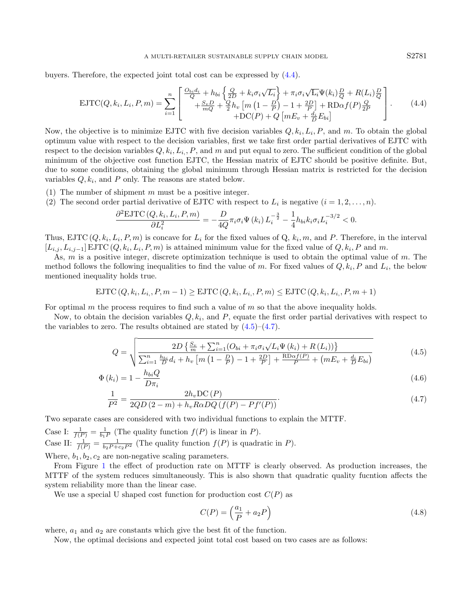#### A MULTI-RETAILER SUSTAINABLE SUPPLY CHAIN MODEL S2781

buyers. Therefore, the expected joint total cost can be expressed by [\(4.4\)](#page-8-0).

$$
\text{EJTC}(Q, k_i, L_i, P, m) = \sum_{i=1}^{n} \begin{bmatrix} \frac{O_{bi}d_i}{Q} + h_{bi} \left\{ \frac{Q}{2D} + k_i \sigma_i \sqrt{L_i} \right\} + \pi_i \sigma_i \sqrt{L_i} \Psi(k_i) \frac{D}{Q} + R(L_i) \frac{D}{Q} \\ + \frac{S_v D}{mQ} + \frac{Q}{2} h_v \left[ m \left( 1 - \frac{D}{P} \right) - 1 + \frac{2D}{P} \right] + \text{RDof}(P) \frac{Q}{2P} \\ + \text{DC}(P) + Q \left[ m E_v + \frac{d_i}{D} E_{bi} \right] \end{bmatrix} . \tag{4.4}
$$

Now, the objective is to minimize EJTC with five decision variables  $Q, k_i, L_i, P$ , and m. To obtain the global optimum value with respect to the decision variables, first we take first order partial derivatives of EJTC with respect to the decision variables  $Q, k_i, L_i, P$ , and m and put equal to zero. The sufficient condition of the global minimum of the objective cost function EJTC, the Hessian matrix of EJTC should be positive definite. But, due to some conditions, obtaining the global minimum through Hessian matrix is restricted for the decision variables  $Q, k_i$ , and P only. The reasons are stated below.

- (1) The number of shipment  $m$  must be a positive integer.
- (2) The second order partial derivative of EJTC with respect to  $L_i$  is negative  $(i = 1, 2, ..., n)$ .

$$
\frac{\partial^2 \text{EJTC}\left(Q, k_i, L_i, P, m\right)}{\partial L_i^2} = -\frac{D}{4Q} \pi_i \sigma_i \Psi\left(k_i\right) L_i^{-\frac{3}{2}} - \frac{1}{4} h_{bi} k_i \sigma_i L_i^{-3/2} < 0.
$$

Thus, EJTC  $(Q, k_i, L_i, P, m)$  is concave for  $L_i$  for the fixed values of  $Q, k_i, m$ , and P. Therefore, in the interval  $[L_{i,j}, L_{i,j-1}]$  EJTC  $(Q, k_i, L_i, P, m)$  is attained minimum value for the fixed value of  $Q, k_i, P$  and m.

As,  $m$  is a positive integer, discrete optimization technique is used to obtain the optimal value of  $m$ . The method follows the following inequalities to find the value of m. For fixed values of  $Q, k_i, P$  and  $L_i$ , the below mentioned inequality holds true.

$$
EJTC(Q, k_i, L_i, P, m-1) \geq EJTC(Q, k_i, L_i, P, m) \leq EJTC(Q, k_i, L_i, P, m+1)
$$

For optimal m the process requires to find such a value of  $m$  so that the above inequality holds.

Now, to obtain the decision variables  $Q, k_i$ , and  $P$ , equate the first order partial derivatives with respect to the variables to zero. The results obtained are stated by  $(4.5)$ – $(4.7)$ .

$$
Q = \sqrt{\frac{2D\left\{\frac{S_v}{m} + \sum_{i=1}^n (O_{bi} + \pi_i \sigma_i \sqrt{L_i \Psi(k_i) + R(L_i))}\right\}}{\sum_{i=1}^n \frac{h_{bi}}{D} d_i + h_v \left[m\left(1 - \frac{D}{P}\right) - 1 + \frac{2D}{P}\right] + \frac{R \log f(P)}{P} + \left(mE_v + \frac{d_i}{D} E_{bi}\right)}}
$$
(4.5)

$$
\Phi(k_i) = 1 - \frac{h_{bi} Q}{D \pi_i} \tag{4.6}
$$

$$
\frac{1}{P^2} = \frac{2h_v \mathcal{DC}(P)}{2QD(2-m) + h_v R \alpha DQ(f(P) - Pf'(P))}.
$$
\n(4.7)

Two separate cases are considered with two individual functions to explain the MTTF.

Case I:  $\frac{1}{f(P)} = \frac{1}{b_1 P}$  (The quality function  $f(P)$  is linear in P). Case II:  $\frac{1}{f(P)} = \frac{1}{b_2 P + c_2 P^2}$  (The quality function  $f(P)$  is quadratic in P). Where,  $b_1, b_2, c_2$  are non-negative scaling parameters.

From Figure [1](#page-9-0) the effect of production rate on MTTF is clearly observed. As production increases, the MTTF of the system reduces simultaneously. This is also shown that quadratic quality fucntion affects the system reliability more than the linear case.

We use a special U shaped cost function for production cost  $C(P)$  as

$$
C(P) = \left(\frac{a_1}{P} + a_2 P\right) \tag{4.8}
$$

where,  $a_1$  and  $a_2$  are constants which give the best fit of the function.

Now, the optimal decisions and expected joint total cost based on two cases are as follows:

<span id="page-8-2"></span><span id="page-8-1"></span><span id="page-8-0"></span>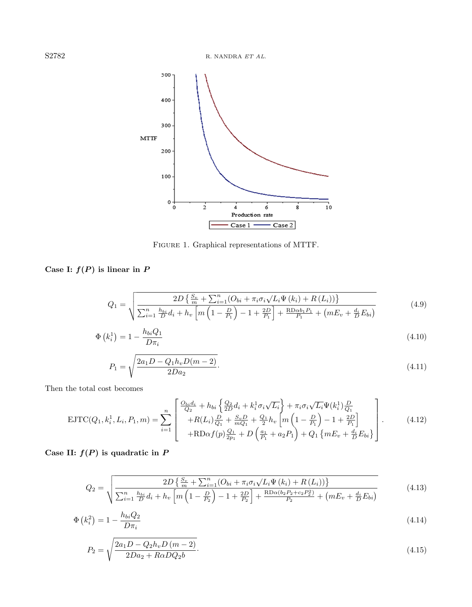S2782 R. NANDRA ET AL.

<span id="page-9-0"></span>

<span id="page-9-7"></span><span id="page-9-5"></span><span id="page-9-4"></span><span id="page-9-3"></span><span id="page-9-2"></span><span id="page-9-1"></span>FIGURE 1. Graphical representations of MTTF.

Case I:  $f(P)$  is linear in P

$$
Q_{1} = \sqrt{\frac{2D\left\{\frac{S_{v}}{m} + \sum_{i=1}^{n} (O_{bi} + \pi_{i}\sigma_{i}\sqrt{L_{i}\Psi(k_{i})} + R(L_{i}))\right\}}{\sum_{i=1}^{n} \frac{h_{bi}}{D}d_{i} + h_{v}\left[m\left(1 - \frac{D}{P_{1}}\right) - 1 + \frac{2D}{P_{1}}\right] + \frac{R D \alpha b_{1} P_{1}}{P_{1}} + \left(mE_{v} + \frac{d_{i}}{D} E_{bi}\right)}}
$$
(4.9)

$$
\Phi\left(k_i^1\right) = 1 - \frac{h_{bi} Q_1}{D \pi_i} \tag{4.10}
$$

<span id="page-9-6"></span>
$$
P_1 = \sqrt{\frac{2a_1D - Q_1h_vD(m-2)}{2Da_2}}.\t(4.11)
$$

Then the total cost becomes

$$
\text{EJTC}(Q_1, k_i^1, L_i, P_1, m) = \sum_{i=1}^n \begin{bmatrix} \frac{Q_{bi}d_i}{Q_2} + h_{bi} \left\{ \frac{Q_2}{2D}d_i + k_i^1 \sigma_i \sqrt{L_i} \right\} + \pi_i \sigma_i \sqrt{L_i} \Psi(k_i^1) \frac{D}{Q_1} \\ + R(L_i) \frac{D}{Q_1} + \frac{S_v D}{mQ_1} + \frac{Q_1}{2} h_v \left[ m \left( 1 - \frac{D}{P_1} \right) - 1 + \frac{2D}{P_1} \right] \\ + R \text{Dof}(p) \frac{Q_1}{2p_1} + D \left( \frac{a_1}{P_1} + a_2 P_1 \right) + Q_1 \left\{ m E_v + \frac{d_i}{D} E_{bi} \right\} \end{bmatrix} . \tag{4.12}
$$

Case II:  $f(P)$  is quadratic in P

$$
Q_{2} = \sqrt{\frac{2D\left\{\frac{S_{v}}{m} + \sum_{i=1}^{n} (O_{bi} + \pi_{i}\sigma_{i}\sqrt{L_{i}\Psi(k_{i})} + R(L_{i}))\right\}}{\sum_{i=1}^{n} \frac{h_{bi}}{D}d_{i} + h_{v}\left[m\left(1 - \frac{D}{P_{2}}\right) - 1 + \frac{2D}{P_{2}}\right] + \frac{R D \alpha (b_{2} P_{2} + c_{2} P_{2}^{2})}{P_{2}} + \left(mE_{v} + \frac{d_{i}}{D} E_{bi}\right)}}
$$
(4.13)

$$
\Phi\left(k_i^2\right) = 1 - \frac{h_{bi} Q_2}{D \pi_i} \tag{4.14}
$$

$$
P_2 = \sqrt{\frac{2a_1D - Q_2h_vD(m-2)}{2Da_2 + R\alpha DQ_2b}}.\tag{4.15}
$$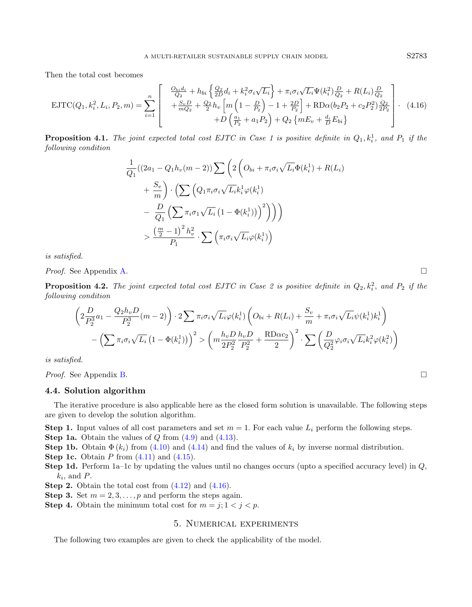<span id="page-10-1"></span>Then the total cost becomes

$$
\text{EJTC}(Q_1, k_i^2, L_i, P_2, m) = \sum_{i=1}^n \begin{bmatrix} \frac{Q_{bi}d_i}{Q_2} + h_{bi} \left\{ \frac{Q_2}{2D}d_i + k_i^2 \sigma_i \sqrt{L_i} \right\} + \pi_i \sigma_i \sqrt{L_i} \Psi(k_i^2) \frac{D}{Q_2} + R(L_i) \frac{D}{Q_2} \\ + \frac{S_v D}{mQ_2} + \frac{Q_2}{2} h_v \left[ m \left( 1 - \frac{D}{P_2} \right) - 1 + \frac{2D}{P_2} \right] + R \text{D}\alpha (b_2 P_2 + c_2 P_2^2) \frac{Q_2}{2P_2} \\ + D \left( \frac{a_1}{P_2} + a_1 P_2 \right) + Q_2 \left\{ m E_v + \frac{d_i}{D} E_{bi} \right\} \end{bmatrix} . \tag{4.16}
$$

**Proposition 4.1.** The joint expected total cost EJTC in Case 1 is positive definite in  $Q_1, k_i^1$ , and  $P_1$  if the following condition

$$
\frac{1}{Q_1}((2a_1 - Q_1h_v(m-2))\sum \left(2\left(O_{bi} + \pi_i\sigma_i\sqrt{L_i}\Phi(k_i^1) + R(L_i)\right)\right)
$$

$$
+\frac{S_v}{m}\left(\sum \left(Q_1\pi_i\sigma_i\sqrt{L_i}k_i^1\varphi(k_i^1)\right)\right)
$$

$$
-\frac{D}{Q_1}\left(\sum \pi_i\sigma_1\sqrt{L_i}\left(1 - \Phi(k_i^1)\right)\right)^2\right)\right)
$$

$$
>\frac{\left(\frac{m}{2} - 1\right)^2 h_v^2}{P_1} \cdot \sum \left(\pi_i\sigma_i\sqrt{L_i}\varphi(k_i^1)\right)
$$

is satisfied.

Proof. See Appendix [A.](#page-17-0)

**Proposition 4.2.** The joint expected total cost EJTC in Case 2 is positive definite in  $Q_2, k_i^2$ , and  $P_2$  if the following condition

$$
\left(2\frac{D}{P_2^3}a_1 - \frac{Q_2h_vD}{P_2^3}(m-2)\right) \cdot 2\sum \pi_i\sigma_i\sqrt{L_i}\varphi(k_i^1)\left(O_{bi} + R(L_i) + \frac{S_v}{m} + \pi_i\sigma_i\sqrt{L_i}\psi(k_i^1)k_i^1\right) - \left(\sum \pi_i\sigma_i\sqrt{L_i}\left(1 - \Phi(k_i^1)\right)\right)^2 > \left(m\frac{h_vD}{2P_2^2}\frac{h_vD}{P_2^2} + \frac{RD\alpha c_2}{2}\right)^2 \cdot \sum \left(\frac{D}{Q_2^2}\varphi_i\sigma_i\sqrt{L_i}k_i^2\varphi(k_i^2)\right)
$$

is satisfied.

*Proof.* See Appendix [B.](#page-18-0)

#### 4.4. Solution algorithm

The iterative procedure is also applicable here as the closed form solution is unavailable. The following steps are given to develop the solution algorithm.

**Step 1.** Input values of all cost parameters and set  $m = 1$ . For each value  $L_i$  perform the following steps. **Step 1a.** Obtain the values of  $Q$  from  $(4.9)$  and  $(4.13)$ .

**Step 1b.** Obtain  $\Phi(k_i)$  from [\(4.10\)](#page-9-3) and [\(4.14\)](#page-9-4) and find the values of  $k_i$  by inverse normal distribution.

- **Step 1c.** Obtain  $P$  from  $(4.11)$  and  $(4.15)$ .
- Step 1d. Perform 1a–1c by updating the values until no changes occurs (upto a specified accuracy level) in Q,  $k_i$ , and  $P$ .
- **Step 2.** Obtain the total cost from  $(4.12)$  and  $(4.16)$ .
- **Step 3.** Set  $m = 2, 3, ..., p$  and perform the steps again.
- <span id="page-10-0"></span>**Step 4.** Obtain the minimum total cost for  $m = j; 1 < j < p$ .

# 5. Numerical experiments

The following two examples are given to check the applicability of the model.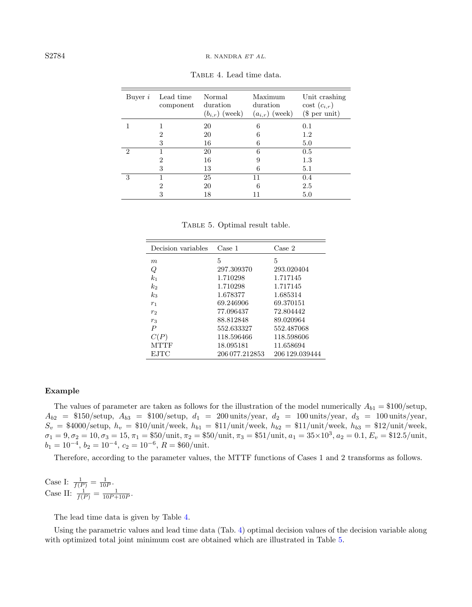| Buyer $i$                   | Lead time<br>component | Normal<br>duration<br>$(b_{i,r})$ (week) | Maximum<br>duration<br>$(a_{i,r})$ (week) | Unit crashing<br>$\cos t$ $(c_{i,r})$<br>$(\$$ per unit) |
|-----------------------------|------------------------|------------------------------------------|-------------------------------------------|----------------------------------------------------------|
|                             |                        | 20                                       | 6                                         | 0.1                                                      |
|                             | 2                      | 20                                       | 6                                         | 1.2                                                      |
|                             | 3                      | 16                                       | 6                                         | 5.0                                                      |
| $\mathcal{D}_{\mathcal{L}}$ |                        | 20                                       | 6                                         | 0.5                                                      |
|                             | 2                      | 16                                       | 9                                         | 1.3                                                      |
|                             | 3                      | 13                                       | 6                                         | 5.1                                                      |
| 3                           |                        | 25                                       | 11                                        | 0.4                                                      |
|                             | 2                      | 20                                       | 6                                         | 2.5                                                      |
|                             | 3                      | 18                                       | 11                                        | $5.0\,$                                                  |

<span id="page-11-1"></span><span id="page-11-0"></span>Table 4. Lead time data.

Table 5. Optimal result table.

| Decision variables | Case 1         | Case 2         |
|--------------------|----------------|----------------|
| m                  | 5              | 5              |
| Q                  | 297.309370     | 293.020404     |
| $k_{1}$            | 1.710298       | 1.717145       |
| $\scriptstyle k_2$ | 1.710298       | 1.717145       |
| $k_{3}$            | 1.678377       | 1.685314       |
| $r_1$              | 69.246906      | 69.370151      |
| r <sub>2</sub>     | 77.096437      | 72.804442      |
| $r_3$              | 88.812848      | 89.020964      |
| Р                  | 552.633327     | 552.487068     |
| C(P)               | 118.596466     | 118.598606     |
| MTTF               | 18.095181      | 11.658694      |
| <b>EJTC</b>        | 206 077.212853 | 206 129,039444 |

#### Example

The values of parameter are taken as follows for the illustration of the model numerically  $A_{b1} = $100/\text{setup}$ ,  $A_{b2} = \$150/\text{setup}, A_{b3} = \$100/\text{setup}, d_{1} = 200 \text{ units}/\text{year}, d_{2} = 100 \text{ units}/\text{year}, d_{3} = 100 \text{ units}/\text{year},$  $S_v = \$4000/\text{setup}, h_v = \$10/\text{unit}/\text{week}, h_{b1} = \$11/\text{unit}/\text{week}, h_{b2} = \$11/\text{unit}/\text{week}, h_{b3} = \$12/\text{unit}/\text{week},$  $\sigma_1 = 9, \sigma_2 = 10, \sigma_3 = 15, \pi_1 = $50/\text{unit}, \pi_2 = $50/\text{unit}, \pi_3 = $51/\text{unit}, a_1 = 35 \times 10^3, a_2 = 0.1, E_v = $12.5/\text{unit},$  $b_1 = 10^{-4}, b_2 = 10^{-4}, c_2 = 10^{-6}, R = $60/$ unit.

Therefore, according to the parameter values, the MTTF functions of Cases 1 and 2 transforms as follows.

Case I:  $\frac{1}{f(P)} = \frac{1}{10P}$ . Case II:  $\frac{1}{f(P)} = \frac{1}{10P + 10P}$ .

The lead time data is given by Table [4.](#page-11-0)

Using the parametric values and lead time data (Tab. [4\)](#page-11-0) optimal decision values of the decision variable along with optimized total joint minimum cost are obtained which are illustrated in Table [5.](#page-11-1)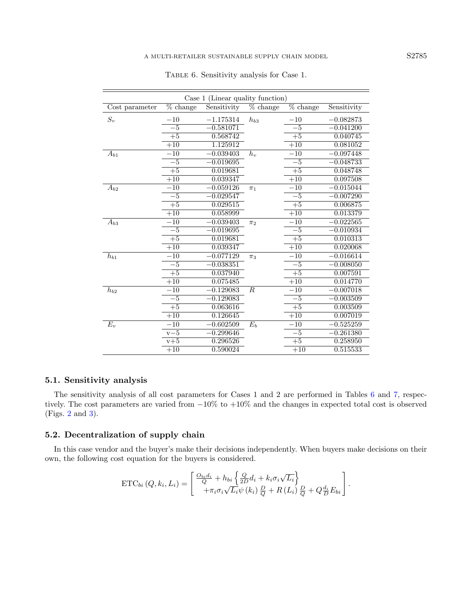| Case 1 (Linear quality function) |                        |             |                        |                        |             |  |
|----------------------------------|------------------------|-------------|------------------------|------------------------|-------------|--|
| Cost parameter                   | $\overline{\%}$ change | Sensitivity | $\overline{\%}$ change | $\overline{\%}$ change | Sensitivity |  |
| $S_v$                            | $-10$                  | $-1.175314$ | $h_{b3}$               | $-10$                  | $-0.082873$ |  |
|                                  | $-5$                   | $-0.581071$ |                        | $-5$                   | $-0.041200$ |  |
|                                  | $+5$                   | 0.568742    |                        | $\overline{+5}$        | 0.040745    |  |
|                                  | $+10$                  | 1.125912    |                        | $+10$                  | 0.081052    |  |
| $A_{b1}$                         | $-10$                  | $-0.039403$ | $h_{\nu}$              | $-10$                  | $-0.097448$ |  |
|                                  | $-5$                   | $-0.019695$ |                        | $-5$                   | $-0.048733$ |  |
|                                  | $+5$                   | 0.019681    |                        | $+5$                   | 0.048748    |  |
|                                  | $+10$                  | 0.039347    |                        | $+10$                  | 0.097508    |  |
| $A_{b2}$                         | $-10$                  | $-0.059126$ | $\pi_1$                | $-10$                  | $-0.015044$ |  |
|                                  | $-5$                   | $-0.029547$ |                        | $-5$                   | $-0.007290$ |  |
|                                  | $+5$                   | 0.029515    |                        | $+5$                   | 0.006875    |  |
|                                  | $+10$                  | 0.058999    |                        | $+10$                  | 0.013379    |  |
| $A_{b3}$                         | $-10$                  | $-0.039403$ | $\pi_2$                | $-10$                  | $-0.022565$ |  |
|                                  | $-\overline{5}$        | $-0.019695$ |                        | $-\overline{5}$        | $-0.010934$ |  |
|                                  | $+5$                   | 0.019681    |                        | $+\overline{5}$        | 0.010313    |  |
|                                  | $+10$                  | 0.039347    |                        | $+10$                  | 0.020068    |  |
| $h_{b1}$                         | $-10$                  | $-0.077129$ | $\pi_3$                | $-10$                  | $-0.016614$ |  |
|                                  | $-5$                   | $-0.038351$ |                        | $-5$                   | $-0.008050$ |  |
|                                  | $+5$                   | 0.037940    |                        | $+\overline{5}$        | 0.007591    |  |
|                                  | $+10$                  | 0.075485    |                        | $+10$                  | 0.014770    |  |
| $\bar{h}_{b2}$                   | $-10$                  | $-0.129083$ | $\boldsymbol{R}$       | $-10$                  | $-0.007018$ |  |
|                                  | $-5$                   | $-0.129083$ |                        | $-5$                   | $-0.003509$ |  |
|                                  | $+5$                   | 0.063616    |                        | $+5$                   | 0.003509    |  |
|                                  | $+10$                  | 0.126645    |                        | $+10$                  | 0.007019    |  |
| $E_v$                            | $-10$                  | $-0.602509$ | $E_b$                  | $-10$                  | $-0.525259$ |  |
|                                  | $v-5$                  | $-0.299646$ |                        | $-5$                   | $-0.261380$ |  |
|                                  | $v+5$                  | 0.296526    |                        | $+5$                   | 0.258950    |  |
|                                  | $+10$                  | 0.590024    |                        | $+10$                  | 0.515533    |  |

<span id="page-12-0"></span>Table 6. Sensitivity analysis for Case 1.

## 5.1. Sensitivity analysis

The sensitivity analysis of all cost parameters for Cases 1 and 2 are performed in Tables [6](#page-12-0) and [7,](#page-13-0) respectively. The cost parameters are varied from −10% to +10% and the changes in expected total cost is observed (Figs. [2](#page-14-1) and [3\)](#page-15-0).

# 5.2. Decentralization of supply chain

In this case vendor and the buyer's make their decisions independently. When buyers make decisions on their own, the following cost equation for the buyers is considered.

ETC<sub>bi</sub> 
$$
(Q, k_i, L_i) = \begin{bmatrix} \frac{O_{bi}d_i}{Q} + h_{bi} \left\{ \frac{Q}{2D}d_i + k_i\sigma_i\sqrt{L_i} \right\} \\ + \pi_i\sigma_i\sqrt{L_i}\psi(k_i) \frac{D}{Q} + R(L_i) \frac{D}{Q} + Q\frac{d_i}{D}E_{bi} \end{bmatrix}.
$$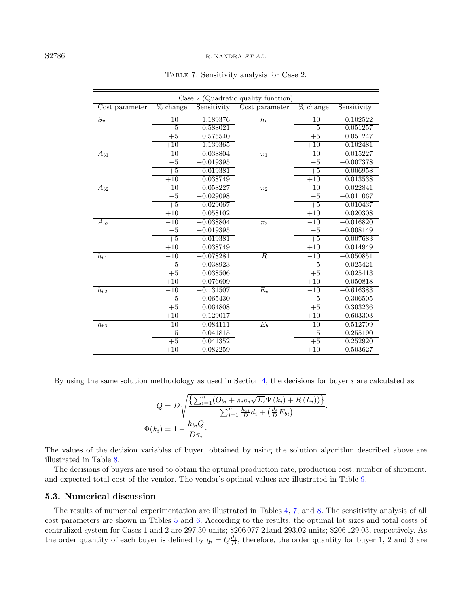| Case 2 (Quadratic quality function) |                  |             |                  |                    |             |
|-------------------------------------|------------------|-------------|------------------|--------------------|-------------|
| Cost parameter                      | % change         | Sensitivity | Cost parameter   | $\sqrt{\%}$ change | Sensitivity |
| $S_v$                               | $-10$            | $-1.189376$ | $h_v$            | $-10$              | $-0.102522$ |
|                                     | $-5$             | $-0.588021$ |                  | $-5$               | $-0.051257$ |
|                                     | $+5$             | 0.575540    |                  | $+5$               | 0.051247    |
|                                     | $+10$            | 1.139365    |                  | $+10$              | 0.102481    |
| $A_{b1}$                            | $-10$            | $-0.038804$ | $\pi_1$          | $-10$              | $-0.015227$ |
|                                     | $-5$             | $-0.019395$ |                  | $-5$               | $-0.007378$ |
|                                     | $+\overline{5}$  | 0.019381    |                  | $+5$               | 0.006958    |
|                                     | $+\overline{10}$ | 0.038749    |                  | $+10$              | 0.013538    |
| $A_{b2}$                            | $-10$            | $-0.058227$ | $\pi_2$          | $^{-10}$           | $-0.022841$ |
|                                     | $-5$             | $-0.029098$ |                  | $-5$               | $-0.011067$ |
|                                     | $+5$             | 0.029067    |                  | $+\overline{5}$    | 0.010437    |
|                                     | $+10$            | 0.058102    |                  | $+10$              | 0.020308    |
| $A_{b3}$                            | $-10$            | $-0.038804$ | $\pi_3$          | $-10$              | $-0.016820$ |
|                                     | $-\overline{5}$  | $-0.019395$ |                  | $-5$               | $-0.008149$ |
|                                     | $+5$             | 0.019381    |                  | $+5$               | 0.007683    |
|                                     | $+10$            | 0.038749    |                  | $+10$              | 0.014949    |
| $h_{b1}$                            | $-10$            | $-0.078281$ | $\boldsymbol{R}$ | $-10$              | $-0.050851$ |
|                                     | $-5$             | $-0.038923$ |                  | $-5$               | $-0.025421$ |
|                                     | $+5$             | 0.038506    |                  | $+\overline{5}$    | 0.025413    |
|                                     | $+10$            | 0.076609    |                  | $+10$              | 0.050818    |
| $\bar{h}_{b2}$                      | $-10$            | $-0.131507$ | $E_v$            | $-10$              | $-0.616383$ |
|                                     | $-5$             | $-0.065430$ |                  | $-5$               | $-0.306505$ |
|                                     | $+\overline{5}$  | 0.064808    |                  | $+5$               | 0.303236    |
|                                     | $+10$            | 0.129017    |                  | $+10$              | 0.603303    |
| $h_{b3}$                            | $-10$            | $-0.084111$ | $E_b$            | $-10$              | $-0.512709$ |
|                                     | $-5$             | $-0.041815$ |                  | $-5$               | $-0.255190$ |
|                                     | $+5$             | 0.041352    |                  | $+5$               | 0.252920    |
|                                     | $+10$            | 0.082259    |                  | $+10$              | 0.503627    |

<span id="page-13-0"></span>Table 7. Sensitivity analysis for Case 2.

By using the same solution methodology as used in Section [4,](#page-6-0) the decisions for buyer  $i$  are calculated as

$$
Q = D \sqrt{\frac{\left\{\sum_{i=1}^{n} (O_{bi} + \pi_i \sigma_i \sqrt{L_i} \Psi(k_i) + R(L_i))\right\}}{\sum_{i=1}^{n} \frac{h_{bi}}{D} d_i + \left(\frac{d_i}{D} E_{bi}\right)}}.
$$
  

$$
\Phi(k_i) = 1 - \frac{h_{bi} Q}{D \pi_i}.
$$

The values of the decision variables of buyer, obtained by using the solution algorithm described above are illustrated in Table [8.](#page-15-1)

The decisions of buyers are used to obtain the optimal production rate, production cost, number of shipment, and expected total cost of the vendor. The vendor's optimal values are illustrated in Table [9.](#page-16-1)

#### 5.3. Numerical discussion

The results of numerical experimentation are illustrated in Tables [4,](#page-11-0) [7,](#page-13-0) and [8.](#page-15-1) The sensitivity analysis of all cost parameters are shown in Tables [5](#page-11-1) and [6.](#page-12-0) According to the results, the optimal lot sizes and total costs of centralized system for Cases 1 and 2 are 297.30 units; \$206 077.21and 293.02 units; \$206 129.03, respectively. As the order quantity of each buyer is defined by  $q_i = Q\frac{d_i}{D}$ , therefore, the order quantity for buyer 1, 2 and 3 are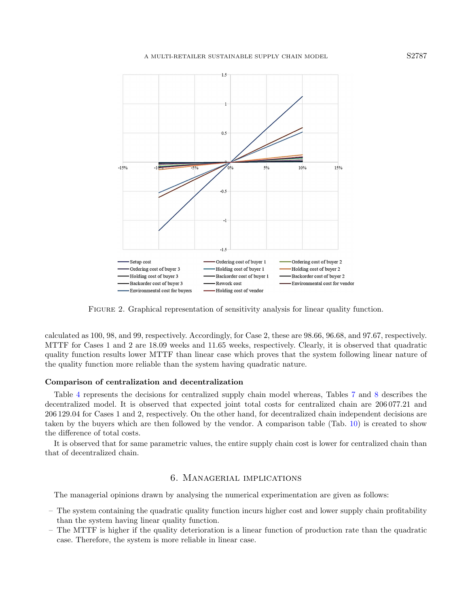

<span id="page-14-1"></span>Figure 2. Graphical representation of sensitivity analysis for linear quality function.

calculated as 100, 98, and 99, respectively. Accordingly, for Case 2, these are 98.66, 96.68, and 97.67, respectively. MTTF for Cases 1 and 2 are 18.09 weeks and 11.65 weeks, respectively. Clearly, it is observed that quadratic quality function results lower MTTF than linear case which proves that the system following linear nature of the quality function more reliable than the system having quadratic nature.

#### Comparison of centralization and decentralization

Table [4](#page-11-0) represents the decisions for centralized supply chain model whereas, Tables [7](#page-13-0) and [8](#page-15-1) describes the decentralized model. It is observed that expected joint total costs for centralized chain are 206 077.21 and 206 129.04 for Cases 1 and 2, respectively. On the other hand, for decentralized chain independent decisions are taken by the buyers which are then followed by the vendor. A comparison table (Tab. [10\)](#page-16-2) is created to show the difference of total costs.

It is observed that for same parametric values, the entire supply chain cost is lower for centralized chain than that of decentralized chain.

### 6. Managerial implications

<span id="page-14-0"></span>The managerial opinions drawn by analysing the numerical experimentation are given as follows:

- The system containing the quadratic quality function incurs higher cost and lower supply chain profitability than the system having linear quality function.
- The MTTF is higher if the quality deterioration is a linear function of production rate than the quadratic case. Therefore, the system is more reliable in linear case.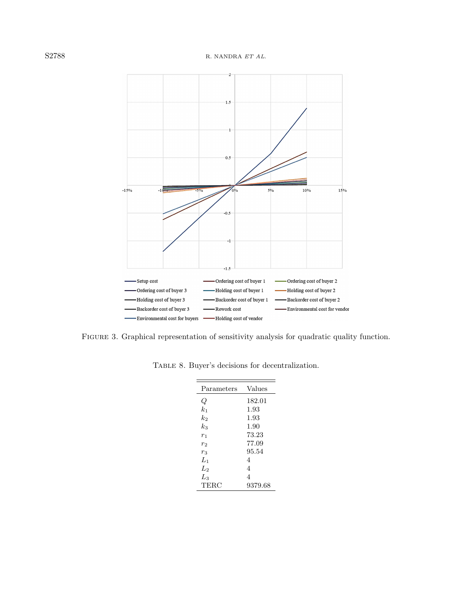

<span id="page-15-0"></span>Figure 3. Graphical representation of sensitivity analysis for quadratic quality function.

| Parameters     | Values  |
|----------------|---------|
| Q              | 182.01  |
| $k_{1}$        | 1.93    |
| $k_2$          | 1.93    |
| $k_{3}$        | 1.90    |
| r <sub>1</sub> | 73.23   |
| $r_2$          | 77.09   |
| $r_3$          | 95.54   |
| $L_1$          | 4       |
| L2             | 4       |
| $L_3$          | 4       |
| TERC           | 9379.68 |

<span id="page-15-1"></span>Table 8. Buyer's decisions for decentralization.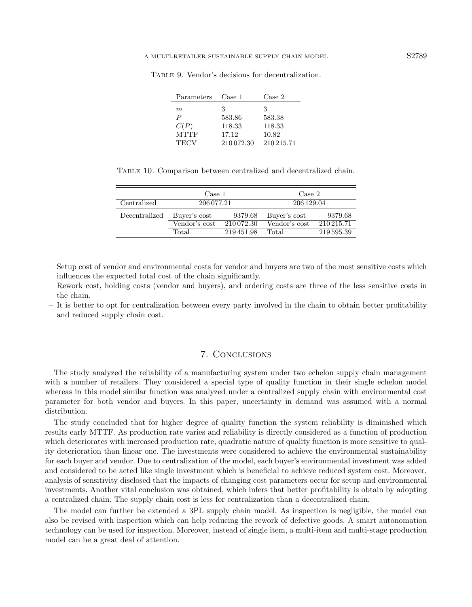| Parameters  | Case 1     | Case 2     |
|-------------|------------|------------|
| m           | З          | З          |
| P           | 583.86     | 583.38     |
| C(P)        | 118.33     | 118.33     |
| <b>MTTF</b> | 17.12      | 10.82      |
| TECV        | 210 072.30 | 210 215.71 |

<span id="page-16-2"></span><span id="page-16-1"></span>Table 9. Vendor's decisions for decentralization.

Table 10. Comparison between centralized and decentralized chain.

|               | Case 1             |            | Case 2        |            |  |
|---------------|--------------------|------------|---------------|------------|--|
| Centralized   | 206 077.21         |            | 206 129.04    |            |  |
| Decentralized | Buver's cost       | 9379.68    | Buver's cost  | 9379.68    |  |
|               | Vendor's cost      | 210 072.30 | Vendor's cost | 210 215.71 |  |
|               | Total<br>219451.98 |            | Total         | 219 595.39 |  |

- Setup cost of vendor and environmental costs for vendor and buyers are two of the most sensitive costs which influences the expected total cost of the chain significantly.
- Rework cost, holding costs (vendor and buyers), and ordering costs are three of the less sensitive costs in the chain.
- It is better to opt for centralization between every party involved in the chain to obtain better profitability and reduced supply chain cost.

## 7. Conclusions

<span id="page-16-0"></span>The study analyzed the reliability of a manufacturing system under two echelon supply chain management with a number of retailers. They considered a special type of quality function in their single echelon model whereas in this model similar function was analyzed under a centralized supply chain with environmental cost parameter for both vendor and buyers. In this paper, uncertainty in demand was assumed with a normal distribution.

The study concluded that for higher degree of quality function the system reliability is diminished which results early MTTF. As production rate varies and reliability is directly considered as a function of production which deteriorates with increased production rate, quadratic nature of quality function is more sensitive to quality deterioration than linear one. The investments were considered to achieve the environmental sustainability for each buyer and vendor. Due to centralization of the model, each buyer's environmental investment was added and considered to be acted like single investment which is beneficial to achieve reduced system cost. Moreover, analysis of sensitivity disclosed that the impacts of changing cost parameters occur for setup and environmental investments. Another vital conclusion was obtained, which infers that better profitability is obtain by adopting a centralized chain. The supply chain cost is less for centralization than a decentralized chain.

The model can further be extended a 3PL supply chain model. As inspection is negligible, the model can also be revised with inspection which can help reducing the rework of defective goods. A smart autonomation technology can be used for inspection. Moreover, instead of single item, a multi-item and multi-stage production model can be a great deal of attention.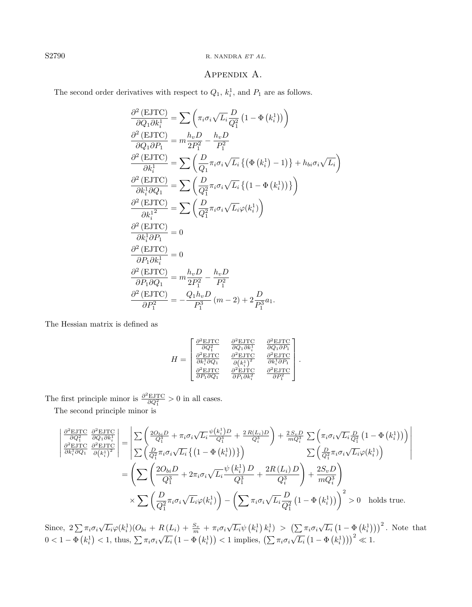## S2790 R. NANDRA ET AL.

# Appendix A.

The second order derivatives with respect to  $Q_1$ ,  $k_i^1$ , and  $P_1$  are as follows.

$$
\frac{\partial^2 (EJTC)}{\partial Q_1 \partial k_i^1} = \sum \left( \pi_i \sigma_i \sqrt{L_i} \frac{D}{Q_1^2} \left( 1 - \Phi \left( k_i^1 \right) \right) \right)
$$
\n
$$
\frac{\partial^2 (EJTC)}{\partial Q_1 \partial P_1} = m \frac{h_v D}{2P_1^2} - \frac{h_v D}{P_1^2}
$$
\n
$$
\frac{\partial^2 (EJTC)}{\partial k_i^1} = \sum \left( \frac{D}{Q_1} \pi_i \sigma_i \sqrt{L_i} \left\{ \left( \Phi \left( k_i^1 \right) - 1 \right) \right\} + h_{bi} \sigma_i \sqrt{L_i} \right\}
$$
\n
$$
\frac{\partial^2 (EJTC)}{\partial k_i^1 \partial Q_1} = \sum \left( \frac{D}{Q_1^2} \pi_i \sigma_i \sqrt{L_i} \left\{ \left( 1 - \Phi \left( k_i^1 \right) \right) \right\} \right)
$$
\n
$$
\frac{\partial^2 (EJTC)}{\partial k_i^1 \partial P_1} = \sum \left( \frac{D}{Q_1^2} \pi_i \sigma_i \sqrt{L_i} \varphi(k_i^1) \right)
$$
\n
$$
\frac{\partial^2 (EJTC)}{\partial k_i^1 \partial P_1} = 0
$$
\n
$$
\frac{\partial^2 (EJTC)}{\partial P_1 \partial k_i^1} = 0
$$
\n
$$
\frac{\partial^2 (EJTC)}{\partial P_1 \partial Q_1} = m \frac{h_v D}{2P_1^2} - \frac{h_v D}{P_1^2}
$$
\n
$$
\frac{\partial^2 (EJTC)}{\partial P_1^2} = -\frac{Q_1 h_v D}{P_1^3} (m - 2) + 2 \frac{D}{P_1^3} a_1.
$$

The Hessian matrix is defined as

$$
H = \begin{bmatrix} \frac{\partial^2 \text{EJTC}}{\partial Q_1^2} & \frac{\partial^2 \text{EJTC}}{\partial Q_1 \partial k_i^1} & \frac{\partial^2 \text{EJTC}}{\partial Q_1 \partial P_1} \\ \frac{\partial^2 \text{EJTC}}{\partial k_i^1 \partial Q_1} & \frac{\partial^2 \text{EJTC}}{\partial (k_i^1)^2} & \frac{\partial^2 \text{EJTC}}{\partial k_i^1 \partial P_1} \\ \frac{\partial^2 \text{EJTC}}{\partial P_1 \partial Q_1} & \frac{\partial^2 \text{EJTC}}{\partial P_1 \partial k_i^2} & \frac{\partial^2 \text{EJTC}}{\partial P_1^2} \end{bmatrix}.
$$

The first principle minor is  $\frac{\partial^2 \text{EJTC}}{\partial Q_1^2} > 0$  in all cases.

The second principle minor is

$$
\begin{split}\n\left| \frac{\partial^2 \text{EJTC}}{\partial Q_1^2} \frac{\partial^2 \text{EJTC}}{\partial Q_1 \partial k_i^1} \right| &= \left| \sum \left( \frac{2O_{bi}D}{Q_1^3} + \pi_i \sigma_i \sqrt{L_i} \frac{\psi(k_i^1)D}{Q_1^3} + \frac{2R(L_i)D}{Q_1^3} \right) + \frac{2S_v D}{mQ_i^3} \sum \left( \pi_i \sigma_i \sqrt{L_i} \frac{D}{Q_1^2} \left( 1 - \Phi \left( k_i^1 \right) \right) \right) \right| \\
& \frac{\partial^2 \text{EJTC}}{\partial k_i^1 \partial Q_1} \frac{\partial^2 \text{EJTC}}{\partial (k_i^1)^2} \right| &= \left| \sum \left( \frac{D}{Q_1^2} \pi_i \sigma_i \sqrt{L_i} \left\{ \left( 1 - \Phi \left( k_i^1 \right) \right) \right\} \right) \right| \\
&= \left( \sum \left( \frac{2O_{bi}D}{Q_1^3} + 2\pi_i \sigma_i \sqrt{L_i} \frac{\psi \left( k_i^1 \right)D}{Q_1^3} + \frac{2R(L_i)D}{Q_1^3} \right) + \frac{2S_v D}{mQ_i^3} \right) \right. \\
&\times \sum \left( \frac{D}{Q_1^2} \pi_i \sigma_i \sqrt{L_i} \varphi(k_i^1) \right) - \left( \sum \pi_i \sigma_i \sqrt{L_i} \frac{D}{Q_1^2} \left( 1 - \Phi \left( k_i^1 \right) \right) \right)^2 > 0 \quad \text{holds true.}\n\end{split}
$$

Since,  $2\sum \pi_i\sigma_i\sqrt{L_i}\varphi(k_i^1)(O_{bi} + R(L_i) + \frac{S_v}{m} + \pi_i\sigma_i\sqrt{L_i}\psi(k_i^1) k_i^1) > (\sum \pi_i\sigma_i\sqrt{L_i}(1 - \Phi(k_i^1)))^2$ . Note that  $0 < 1 - \Phi(k_i^1) < 1$ , thus,  $\sum \pi_i \sigma_i \sqrt{L_i} (1 - \Phi(k_i^1)) < 1$  implies,  $(\sum \pi_i \sigma_i \sqrt{L_i} (1 - \Phi(k_i^1)))^2 \ll 1$ .

<span id="page-17-0"></span>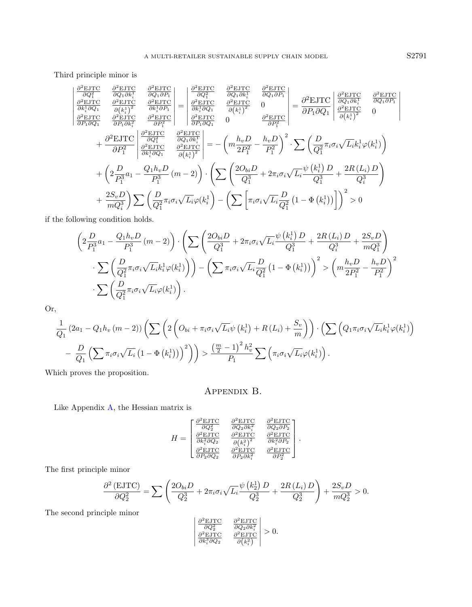Third principle minor is

 $\overline{\phantom{a}}$  $\overline{\phantom{a}}$  $\overline{\phantom{a}}$  $\overline{\phantom{a}}$  $\overline{\phantom{a}}$  $\overline{\phantom{a}}$  $\overline{\phantom{a}}$  $\overline{\phantom{a}}$ 

$$
\frac{\partial^2 \text{EJTC}}{\partial Q_1^2} \quad \frac{\partial^2 \text{EJTC}}{\partial Q_1 \partial k_i^1} \quad \frac{\partial^2 \text{EJTC}}{\partial Q_1 \partial P_1} = \begin{vmatrix} \frac{\partial^2 \text{EJTC}}{\partial Q_1^2} & \frac{\partial^2 \text{EJTC}}{\partial Q_1 \partial k_i^1} & \frac{\partial^2 \text{EJTC}}{\partial Q_1 \partial P_1} \\ \frac{\partial^2 \text{EJTC}}{\partial k_i^1 \partial Q_1} & \frac{\partial^2 \text{EJTC}}{\partial (k_i^1)^2} & \frac{\partial^2 \text{EJTC}}{\partial k_i^1 \partial Q_1} & \frac{\partial^2 \text{EJTC}}{\partial (k_i^1)^2} \end{vmatrix} = \begin{vmatrix} \frac{\partial^2 \text{EJTC}}{\partial Q_1 \partial k_i^1} & \frac{\partial^2 \text{EJTC}}{\partial Q_1 \partial P_1} \\ \frac{\partial^2 \text{EJTC}}{\partial k_i^1 \partial Q_1} & \frac{\partial^2 \text{EJTC}}{\partial P_1 \partial Q_1} \end{vmatrix} = \frac{\frac{\partial^2 \text{EJTC}}{\partial R_1 \partial Q_1} \quad \frac{\partial^2 \text{EJTC}}{\partial (k_i^1)^2} = \frac{\partial^2 \text{EJTC}}{\partial P_1 \partial Q_1} \quad \frac{\partial^2 \text{EJTC}}{\partial (k_i^1)^2} = \frac{\partial^2 \text{EJTC}}{\partial P_1^2} \quad \frac{\partial^2 \text{EJTC}}{\partial P_1^2} = -\left( m \frac{h_v D}{2P_1^2} - \frac{h_v D}{P_1^2} \right)^2 \cdot \sum \left( \frac{D}{Q_1^2} \pi_i \sigma_i \sqrt{L_i} k_i^1 \varphi(k_i^1) \right) + \left( 2 \frac{D}{P_1^3} a_1 - \frac{Q_1 h_v D}{P_1^3} \left( m - 2 \right) \right) \cdot \left( \sum \left( \frac{2O_{bi} D}{Q_1^3} + 2 \pi_i \sigma_i \sqrt{L_i} \frac{\psi \left( k_i^1 \right) D}{Q_1^3} + \frac{2R \left( L_i \right) D}{Q_i^3} \right) + \frac{2S_v D}{m Q_i^3} \right) \sum
$$

if the following condition holds.

$$
\left(2\frac{D}{P_1^3}a_1 - \frac{Q_1h_vD}{P_1^3}(m-2)\right)\cdot\left(\sum\left(\frac{2O_{bi}D}{Q_1^3} + 2\pi_i\sigma_i\sqrt{L_i}\frac{\psi(k_i^1)D}{Q_1^3} + \frac{2R(L_i)D}{Q_i^3} + \frac{2S_vD}{mQ_1^3}\right)\cdot\sum\left(\frac{D}{Q_1^2}\pi_i\sigma_i\sqrt{L_i}k_i^1\varphi(k_i^1)\right)\right) - \left(\sum\pi_i\sigma_i\sqrt{L_i}\frac{D}{Q_1^2}\left(1 - \Phi(k_i^1)\right)\right)^2 > \left(m\frac{h_vD}{2P_1^2} - \frac{h_vD}{P_1^2}\right)^2\cdot\sum\left(\frac{D}{Q_1^2}\pi_i\sigma_i\sqrt{L_i}\varphi(k_i^1)\right).
$$

Or,

$$
\frac{1}{Q_1} (2a_1 - Q_1 h_v (m-2)) \left( \sum \left( 2 \left( O_{bi} + \pi_i \sigma_i \sqrt{L_i} \psi \left( k_i^1 \right) + R \left( L_i \right) + \frac{S_v}{m} \right) \right) \cdot \left( \sum \left( Q_1 \pi_i \sigma_i \sqrt{L_i} k_i^1 \varphi(k_i^1) \right) - \frac{D}{Q_1} \left( \sum \pi_i \sigma_i \sqrt{L_i} \left( 1 - \Phi \left( k_i^1 \right) \right) \right)^2 \right) \right) > \frac{\left( \frac{m}{2} - 1 \right)^2 h_v^2}{P_1} \sum \left( \pi_i \sigma_i \sqrt{L_i} \varphi(k_i^1) \right).
$$

<span id="page-18-0"></span>Which proves the proposition.

# Appendix B.

Like Appendix [A,](#page-17-0) the Hessian matrix is

$$
H = \begin{bmatrix} \frac{\partial^2 \text{EJTC}}{\partial Q_2^2} & \frac{\partial^2 \text{EJTC}}{\partial Q_2 \partial k_i^2} & \frac{\partial^2 \text{EJTC}}{\partial Q_2 \partial P_2} \\ \frac{\partial^2 \text{EJTC}}{\partial k_i^2 \partial Q_2} & \frac{\partial^2 \text{EJTC}}{\partial (k_i^2)^2} & \frac{\partial^2 \text{EJTC}}{\partial k_i^2 \partial P_2} \\ \frac{\partial^2 \text{EJTC}}{\partial P_2 \partial Q_2} & \frac{\partial^2 \text{EJTC}}{\partial P_2 \partial k_i^2} & \frac{\partial^2 \text{EJTC}}{\partial P_2^2} \end{bmatrix}.
$$

The first principle minor

$$
\frac{\partial^2 (EJTC)}{\partial Q_2^2} = \sum \left( \frac{2O_{bi}D}{Q_2^3} + 2\pi_i \sigma_i \sqrt{L_i} \frac{\psi(k_2^1) D}{Q_2^3} + \frac{2R(L_i) D}{Q_2^3} \right) + \frac{2S_v D}{mQ_2^3} > 0.
$$

The second principle minor

$$
\begin{vmatrix} \frac{\partial^2 \text{EJTC}}{\partial Q_2^2} & \frac{\partial^2 \text{EJTC}}{\partial Q_2 \partial k_i^2} \\ \frac{\partial^2 \text{EJTC}}{\partial k_i^3 \partial Q_2} & \frac{\partial^2 \text{EJTC}}{\partial (k_i^2)} \end{vmatrix} > 0.
$$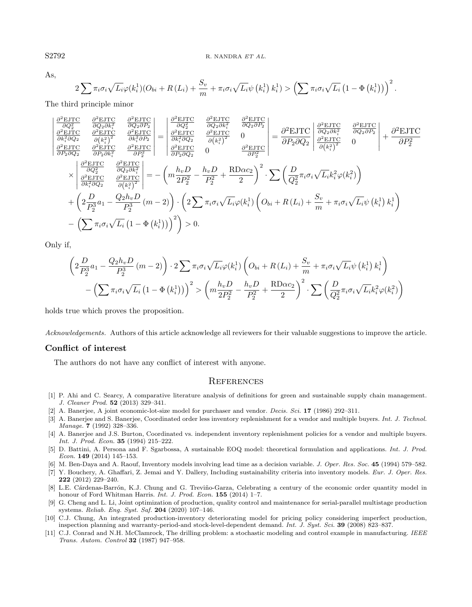As,

$$
2\sum \pi_i \sigma_i \sqrt{L_i} \varphi(k_i^1) (O_{bi} + R(L_i) + \frac{S_v}{m} + \pi_i \sigma_i \sqrt{L_i} \psi(k_i^1) k_i^1) > \left(\sum \pi_i \sigma_i \sqrt{L_i} \left(1 - \Phi(k_i^1)\right)\right)^2.
$$

The third principle minor

$$
\begin{vmatrix}\n\frac{\partial^2 \text{EJTC}}{\partial Q_2^2} & \frac{\partial^2 \text{EJTC}}{\partial Q_2 \partial k_i^2} & \frac{\partial^2 \text{EJTC}}{\partial Q_2 \partial P_2} \\
\frac{\partial^2 \text{EJTC}}{\partial k_i^2 \partial Q_2} & \frac{\partial^2 \text{EJTC}}{\partial (k_i^2)} & \frac{\partial^2 \text{EJTC}}{\partial k_i^2 \partial Q_2} & \frac{\partial^2 \text{EJTC}}{\partial k_i^2 \partial Q_2} & \frac{\partial^2 \text{EJTC}}{\partial k_i^2 \partial Q_2} & \frac{\partial^2 \text{EJTC}}{\partial (k_i^2)}\n\end{vmatrix} = \begin{vmatrix}\n\frac{\partial^2 \text{EJTC}}{\partial Q_2 \partial k_i^2} & \frac{\partial^2 \text{EJTC}}{\partial Q_2 \partial k_i^2} & \frac{\partial^2 \text{EJTC}}{\partial Q_2 \partial P_2} \\
\frac{\partial^2 \text{EJTC}}{\partial k_i^2 \partial Q_2} & \frac{\partial^2 \text{EJTC}}{\partial P_2 \partial Q_2} & \frac{\partial^2 \text{EJTC}}{\partial P_2 \partial Q_2}\n\end{vmatrix} = \frac{\partial^2 \text{EJTC}}{\partial P_2 \partial Q_2} \begin{vmatrix}\n\frac{\partial^2 \text{EJTC}}{\partial k_i^2} & \frac{\partial^2 \text{EJTC}}{\partial (k_i^2)^2} \\
\frac{\partial^2 \text{EJTC}}{\partial k_i^2 \partial Q_2} & \frac{\partial^2 \text{EJTC}}{\partial Q_2 \partial k_i^2} \\
\frac{\partial^2 \text{EJTC}}{\partial k_i^2 \partial Q_2} & \frac{\partial^2 \text{EJTC}}{\partial (k_i^2)^2}\n\end{vmatrix} = -\left(m \frac{h_v D}{2P_2^2} - \frac{h_v D}{P_2^2} + \frac{RD \alpha c_2}{2}\right)^2 \cdot \sum \left(\frac{D}{Q_2^2} \pi_i \sigma_i \sqrt{L_i} k_i^2 \varphi(k_i^2)\right) \\
+ \left(2 \frac{D}{P_2^3} a_1 - \frac{Q_2 h_v D}{P_2^3} (m-2)\right) \cdot \left(2 \sum \pi_i \sigma_i \sqrt{L_i} \varphi(k_i^1) \left(O_{bi} + R(L
$$

Only if,

$$
\left(2\frac{D}{P_2^3}a_1 - \frac{Q_2h_vD}{P_2^3}(m-2)\right) \cdot 2\sum \pi_i\sigma_i\sqrt{L_i}\varphi(k_i^1)\left(O_{bi} + R(L_i) + \frac{S_v}{m} + \pi_i\sigma_i\sqrt{L_i}\psi(k_i^1) k_i^1\right) - \left(\sum \pi_i\sigma_i\sqrt{L_i}\left(1 - \Phi(k_i^1)\right)\right)^2 > \left(m\frac{h_vD}{2P_2^2} - \frac{h_vD}{P_2^2} + \frac{RD\alpha c_2}{2}\right)^2 \cdot \sum \left(\frac{D}{Q_2^2}\pi_i\sigma_i\sqrt{L_i}k_i^2\varphi(k_i^2)\right)
$$

<span id="page-19-8"></span><span id="page-19-6"></span><span id="page-19-1"></span><span id="page-19-0"></span>holds true which proves the proposition.

<span id="page-19-4"></span>Acknowledgements. Authors of this article acknowledge all reviewers for their valuable suggestions to improve the article.

#### <span id="page-19-9"></span>Conflict of interest

<span id="page-19-7"></span><span id="page-19-5"></span>The authors do not have any conflict of interest with anyone.

### **REFERENCES**

- <span id="page-19-3"></span>[1] P. Ahi and C. Searcy, A comparative literature analysis of definitions for green and sustainable supply chain management. J. Cleaner Prod. 52 (2013) 329–341.
- [2] A. Banerjee, A joint economic-lot-size model for purchaser and vendor. *Decis. Sci.* **17** (1986) 292-311.
- <span id="page-19-2"></span>[3] A. Banerjee and S. Banerjee, Coordinated order less inventory replenishment for a vendor and multiple buyers. Int. J. Technol. Manage. **7** (1992) 328-336.
- [4] A. Banerjee and J.S. Burton, Coordinated vs. independent inventory replenishment policies for a vendor and multiple buyers. Int. J. Prod. Econ. 35 (1994) 215–222.
- [5] D. Battini, A. Persona and F. Sgarbossa, A sustainable EOQ model: theoretical formulation and applications. Int. J. Prod. Econ. 149  $(2014)$  145–153.
- [6] M. Ben-Daya and A. Raouf, Inventory models involving lead time as a decision variable. J. Oper. Res. Soc. 45 (1994) 579–582.
- [7] Y. Bouchery, A. Ghaffari, Z. Jemai and Y. Dallery, Including sustainability criteria into inventory models. Eur. J. Oper. Res. 222 (2012) 229–240.
- [8] L.E. Cárdenas-Barrón, K.J. Chung and G. Treviño-Garza, Celebrating a century of the economic order quantity model in honour of Ford Whitman Harris. Int. J. Prod. Econ. 155 (2014) 1-7.
- [9] G. Cheng and L. Li, Joint optimization of production, quality control and maintenance for serial-parallel multistage production systems. Reliab. Eng. Syst. Saf. 204 (2020) 107–146.
- [10] C.J. Chung, An integrated production-inventory deteriorating model for pricing policy considering imperfect production, inspection planning and warranty-period-and stock-level-dependent demand. Int. J. Syst. Sci. 39 (2008) 823–837.
- [11] C.J. Conrad and N.H. McClamrock, The drilling problem: a stochastic modeling and control example in manufacturing. IEEE Trans. Autom. Control 32 (1987) 947–958.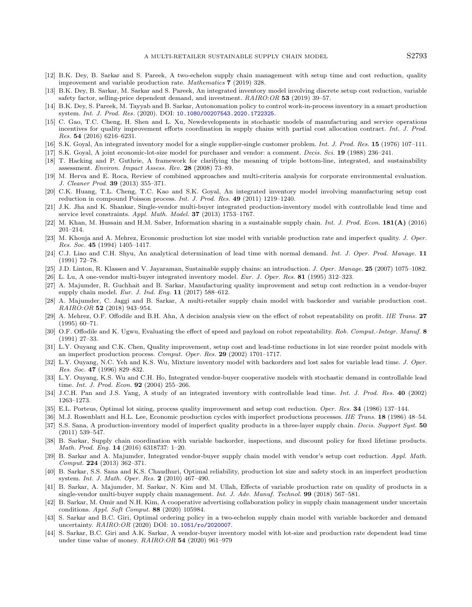- <span id="page-20-30"></span><span id="page-20-29"></span><span id="page-20-28"></span><span id="page-20-27"></span><span id="page-20-26"></span><span id="page-20-18"></span><span id="page-20-17"></span><span id="page-20-1"></span><span id="page-20-0"></span>[12] B.K. Dey, B. Sarkar and S. Pareek, A two-echelon supply chain management with setup time and cost reduction, quality improvement and variable production rate. Mathematics 7 (2019) 328.
- <span id="page-20-7"></span>[13] B.K. Dey, B. Sarkar, M. Sarkar and S. Pareek, An integrated inventory model involving discrete setup cost reduction, variable safety factor, selling-price dependent demand, and investment. RAIRO:OR 53 (2019) 39–57.
- <span id="page-20-20"></span>[14] B.K. Dev, S. Pareek, M. Tavyab and B. Sarkar, Autonomation policy to control work-in-process inventory in a smart production system. Int. J. Prod. Res. (2020). DOI: [10.1080/00207543.2020.1722325](https://doi.org/10.1080/00207543.2020.1722325).
- <span id="page-20-14"></span>[15] C. Gao, T.C. Cheng, H. Shen and L. Xu, Newdevelopments in stochastic models of manufacturing and service operations incentives for quality improvement efforts coordination in supply chains with partial cost allocation contract. Int. J. Prod. Res. 54 (2016) 6216–6231.
- <span id="page-20-2"></span>[16] S.K. Goyal, An integrated inventory model for a single supplier-single customer problem. Int. J. Prod. Res. 15 (1976) 107–111.
- <span id="page-20-19"></span>[17] S.K. Goyal, A joint economic-lot-size model for purchaser and vendor: a comment. Decis. Sci. 19 (1988) 236-241.
- <span id="page-20-8"></span>[18] T. Hacking and P. Guthrie, A framework for clarifying the meaning of triple bottom-line, integrated, and sustainability assessment. Environ. Impact Assess. Rev. 28 (2008) 73–89.
- <span id="page-20-3"></span>[19] M. Herva and E. Roca, Review of combined approaches and multi-criteria analysis for corporate environmental evaluation. J. Cleaner Prod. 39 (2013) 355–371.
- <span id="page-20-4"></span>[20] C.K. Huang, T.L. Cheng, T.C. Kao and S.K. Goyal, An integrated inventory model involving manufacturing setup cost reduction in compound Poisson process. Int. J. Prod. Res. 49 (2011) 1219–1240.
- <span id="page-20-15"></span>[21] J.K. Jha and K. Shankar, Single-vendor multi-buyer integrated production-inventory model with controllable lead time and service level constraints. Appl. Math. Model. 37 (2013) 1753–1767.
- <span id="page-20-16"></span>[22] M. Khan, M. Hussain and H.M. Saber, Information sharing in a sustainable supply chain. Int. J. Prod. Econ. 181(A) (2016) 201–214.
- <span id="page-20-5"></span>[23] M. Khouja and A. Mehrez, Economic production lot size model with variable production rate and imperfect quality. J. Oper. Res. Soc. 45 (1994) 1405–1417.
- <span id="page-20-10"></span>[24] C.J. Liao and C.H. Shyu, An analytical determination of lead time with normal demand. Int. J. Oper. Prod. Manage. 11 (1991) 72–78.
- <span id="page-20-6"></span>[25] J.D. Linton, R. Klassen and V. Jayaraman, Sustainable supply chains: an introduction. J. Oper. Manage. 25 (2007) 1075–1082.
- <span id="page-20-11"></span>[26] L. Lu, A one-vendor multi-buyer integrated inventory model. Eur. J. Oper. Res. 81 (1995) 312–323.
- [27] A. Majumder, R. Guchhait and B. Sarkar, Manufacturing quality improvement and setup cost reduction in a vendor-buyer supply chain model. Eur. J. Ind. Eng. 11 (2017) 588–612.
- <span id="page-20-13"></span><span id="page-20-12"></span>[28] A. Majumder, C. Jaggi and B. Sarkar, A multi-retailer supply chain model with backorder and variable production cost. RAIRO:OR 52 (2018) 943–954.
- <span id="page-20-25"></span>[29] A. Mehrez, O.F. Offodile and B.H. Ahn, A decision analysis view on the effect of robot repeatability on profit. IIE Trans. 27 (1995) 60–71.
- <span id="page-20-22"></span>[30] O.F. Offodile and K. Ugwu, Evaluating the effect of speed and payload on robot repeatability. Rob. Comput.-Integr. Manuf. 8 (1991) 27–33.
- <span id="page-20-9"></span>[31] L.Y. Ouyang and C.K. Chen, Quality improvement, setup cost and lead-time reductions in lot size reorder point models with an imperfect production process. Comput. Oper. Res. 29 (2002) 1701–1717.
- [32] L.Y. Ouyang, N.C. Yeh and K.S. Wu, Mixture inventory model with backorders and lost sales for variable lead time. J. Oper. Res. Soc. 47 (1996) 829–832.
- <span id="page-20-23"></span>[33] L.Y. Ouyang, K.S. Wu and C.H. Ho, Integrated vendor-buyer cooperative models with stochastic demand in controllable lead time. Int. J. Prod. Econ. **92** (2004) 255-266.
- <span id="page-20-21"></span>[34] J.C.H. Pan and J.S. Yang, A study of an integrated inventory with controllable lead time. Int. J. Prod. Res. 40 (2002) 1263–1273.
- [35] E.L. Porteus, Optimal lot sizing, process quality improvement and setup cost reduction. Oper. Res. 34 (1986) 137–144.
- <span id="page-20-24"></span>[36] M.J. Rosenblatt and H.L. Lee, Economic production cycles with imperfect productions processes. IIE Trans. 18 (1986) 48–54.
- [37] S.S. Sana, A production-inventory model of imperfect quality products in a three-layer supply chain. Decis. Support Syst. 50 (2011) 539–547.
- [38] B. Sarkar, Supply chain coordination with variable backorder, inspections, and discount policy for fixed lifetime products. Math. Prod. Eng. 14 (2016) 6318737: 1–20.
- [39] B. Sarkar and A. Majumder, Integrated vendor-buyer supply chain model with vendor's setup cost reduction. Appl. Math. Comput. 224 (2013) 362–371.
- [40] B. Sarkar, S.S. Sana and K.S. Chaudhuri, Optimal reliability, production lot size and safety stock in an imperfect production system. Int. J. Math. Oper. Res. 2 (2010) 467–490.
- [41] B. Sarkar, A. Majumder, M. Sarkar, N. Kim and M. Ullah, Effects of variable production rate on quality of products in a single-vendor multi-buyer supply chain management. Int. J. Adv. Manuf. Technol. 99 (2018) 567–581.
- [42] B. Sarkar, M. Omir and N.H. Kim, A cooperative advertising collaboration policy in supply chain management under uncertain conditions. Appl. Soft Comput. 88 (2020) 105984.
- [43] S. Sarkar and B.C. Giri, Optimal ordering policy in a two-echelon supply chain model with variable backorder and demand uncertainty. RAIRO:OR (2020) DOI: [10.1051/ro/2020007](https://doi.org/10.1051/ro/2020007).
- [44] S. Sarkar, B.C. Giri and A.K. Sarkar, A vendor-buyer inventory model with lot-size and production rate dependent lead time under time value of money. RAIRO:OR 54 (2020) 961–979